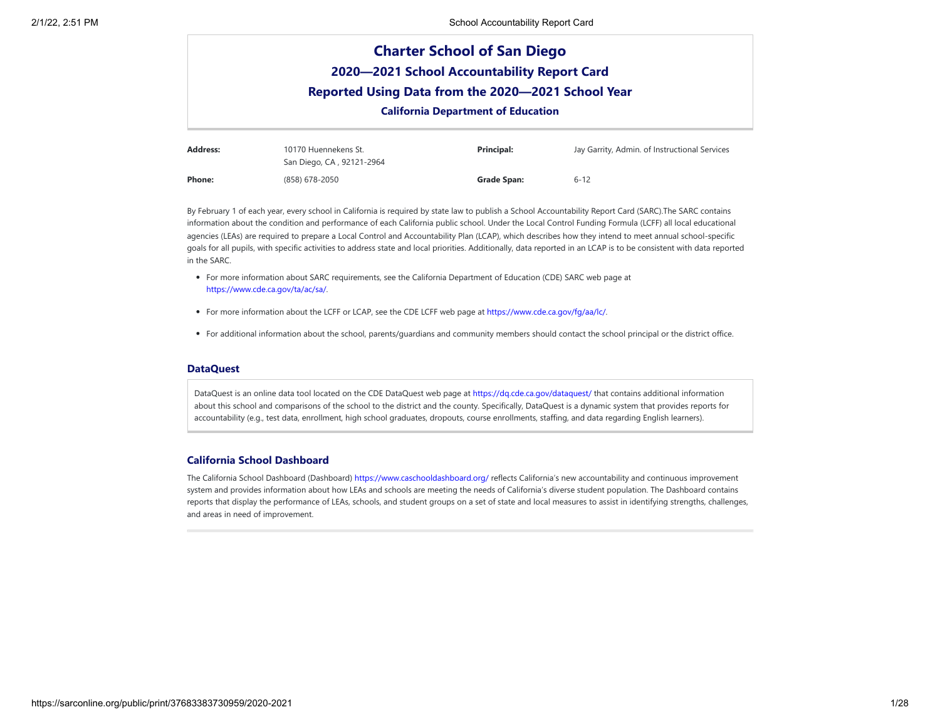

By February 1 of each year, every school in California is required by state law to publish a School Accountability Report Card (SARC).The SARC contains information about the condition and performance of each California public school. Under the Local Control Funding Formula (LCFF) all local educational agencies (LEAs) are required to prepare a Local Control and Accountability Plan (LCAP), which describes how they intend to meet annual school-specific goals for all pupils, with specific activities to address state and local priorities. Additionally, data reported in an LCAP is to be consistent with data reported in the SARC.

- For more information about SARC requirements, see the California Department of Education (CDE) SARC web page at <https://www.cde.ca.gov/ta/ac/sa/>.
- For more information about the LCFF or LCAP, see the CDE LCFF web page at <https://www.cde.ca.gov/fg/aa/lc/>.

**Phone:** (858) 678-2050 **Grade Span:** 6-12

For additional information about the school, parents/guardians and community members should contact the school principal or the district office.

#### **DataQuest**

DataQuest is an online data tool located on the CDE DataQuest web page at https://dg.cde.ca.gov/dataguest/ that contains additional information about this school and comparisons of the school to the district and the county. Specifically, DataQuest is a dynamic system that provides reports for accountability (e.g., test data, enrollment, high school graduates, dropouts, course enrollments, staffing, and data regarding English learners).

## **California School Dashboard**

The California School Dashboard (Dashboard) <https://www.caschooldashboard.org/> reflects California's new accountability and continuous improvement system and provides information about how LEAs and schools are meeting the needs of California's diverse student population. The Dashboard contains reports that display the performance of LEAs, schools, and student groups on a set of state and local measures to assist in identifying strengths, challenges, and areas in need of improvement.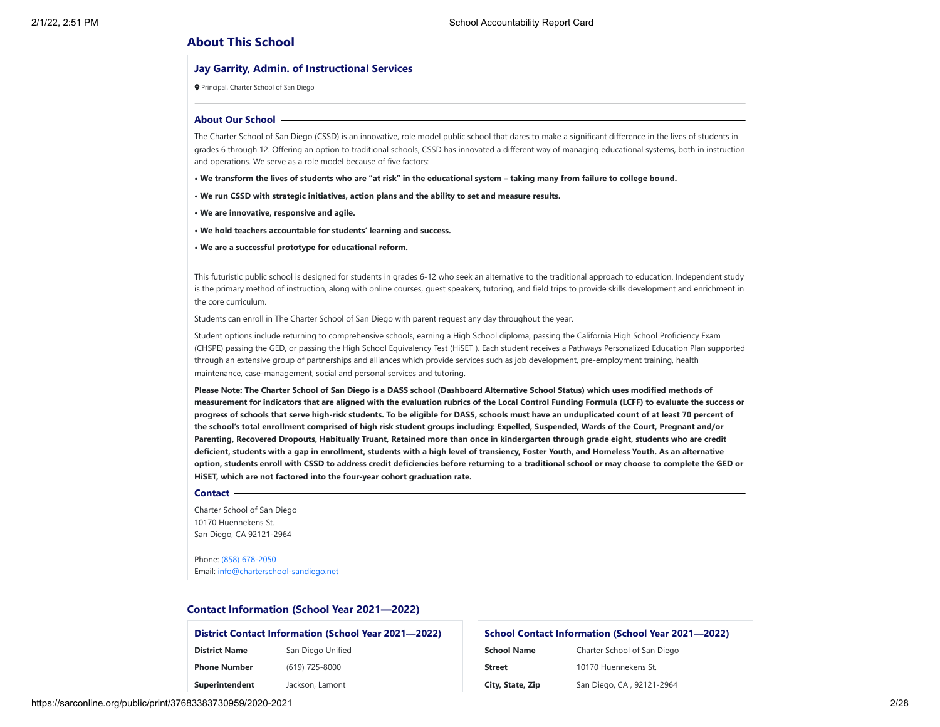## **About This School**

#### **Jay Garrity, Admin. of Instructional Services**

Principal, Charter School of San Diego

#### **About Our School**

The Charter School of San Diego (CSSD) is an innovative, role model public school that dares to make a significant difference in the lives of students in grades 6 through 12. Offering an option to traditional schools, CSSD has innovated a different way of managing educational systems, both in instruction and operations. We serve as a role model because of five factors:

**• We transform the lives of students who are "at risk" in the educational system – taking many from failure to college bound.**

**• We run CSSD with strategic initiatives, action plans and the ability to set and measure results.**

- **We are innovative, responsive and agile.**
- **We hold teachers accountable for students' learning and success.**

**• We are a successful prototype for educational reform.**

This futuristic public school is designed for students in grades 6-12 who seek an alternative to the traditional approach to education. Independent study is the primary method of instruction, along with online courses, guest speakers, tutoring, and field trips to provide skills development and enrichment in the core curriculum.

Students can enroll in The Charter School of San Diego with parent request any day throughout the year.

Student options include returning to comprehensive schools, earning a High School diploma, passing the California High School Proficiency Exam (CHSPE) passing the GED, or passing the High School Equivalency Test (HiSET ). Each student receives a Pathways Personalized Education Plan supported through an extensive group of partnerships and alliances which provide services such as job development, pre-employment training, health maintenance, case-management, social and personal services and tutoring.

**Please Note: The Charter School of San Diego is a DASS school (Dashboard Alternative School Status) which uses modified methods of measurement for indicators that are aligned with the evaluation rubrics of the Local Control Funding Formula (LCFF) to evaluate the success or progress of schools that serve high-risk students. To be eligible for DASS, schools must have an unduplicated count of at least 70 percent of the school's total enrollment comprised of high risk student groups including: Expelled, Suspended, Wards of the Court, Pregnant and/or Parenting, Recovered Dropouts, Habitually Truant, Retained more than once in kindergarten through grade eight, students who are credit deficient, students with a gap in enrollment, students with a high level of transiency, Foster Youth, and Homeless Youth. As an alternative option, students enroll with CSSD to address credit deficiencies before returning to a traditional school or may choose to complete the GED or HiSET, which are not factored into the four-year cohort graduation rate.**

#### **Contact**

Charter School of San Diego 10170 Huennekens St. San Diego, CA 92121-2964

Phone: (858) [678-2050](tel:(858) 678-2050) Email: [info@charterschool-sandiego.net](mailto:info@charterschool-sandiego.net)

#### **Contact Information (School Year 2021—2022)**

**District Contact Information (School Year 2021—2022)**

**District Name** San Diego Unified **Phone Number** (619) 725-8000 **Superintendent** Jackson, Lamont

# **School Contact Information (School Year 2021—2022) School Name** Charter School of San Diego **Street** 10170 Huennekens St.

City, State, Zip<br>
San Diego, CA, 92121-2964

https://sarconline.org/public/print/37683383730959/2020-2021 2/28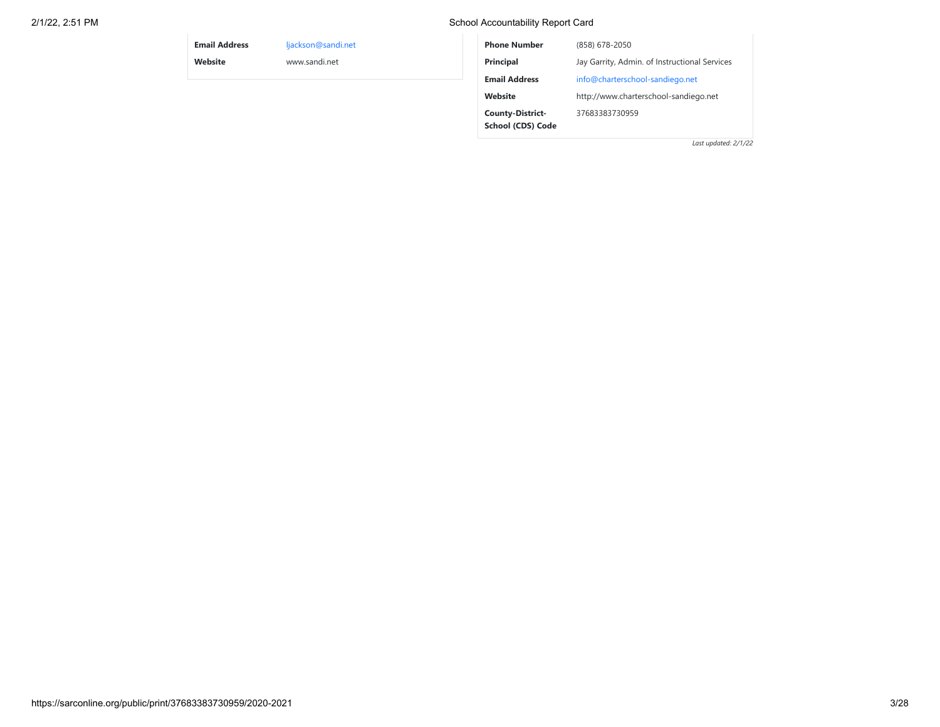## 2/1/22, 2:51 PM School Accountability Report Card

| <b>Email Address</b> | ljackson@sandi.net | <b>Phone Number</b>     | (858) 678-2050                                |  |
|----------------------|--------------------|-------------------------|-----------------------------------------------|--|
| Website              | www.sandi.net      | Principal               | Jay Garrity, Admin. of Instructional Services |  |
|                      |                    | <b>Email Address</b>    | info@charterschool-sandiego.net               |  |
|                      |                    | Website                 | http://www.charterschool-sandiego.net         |  |
|                      |                    | <b>County-District-</b> | 37683383730959                                |  |
|                      |                    | School (CDS) Code       |                                               |  |
|                      |                    |                         | Last updated: 2/1/22                          |  |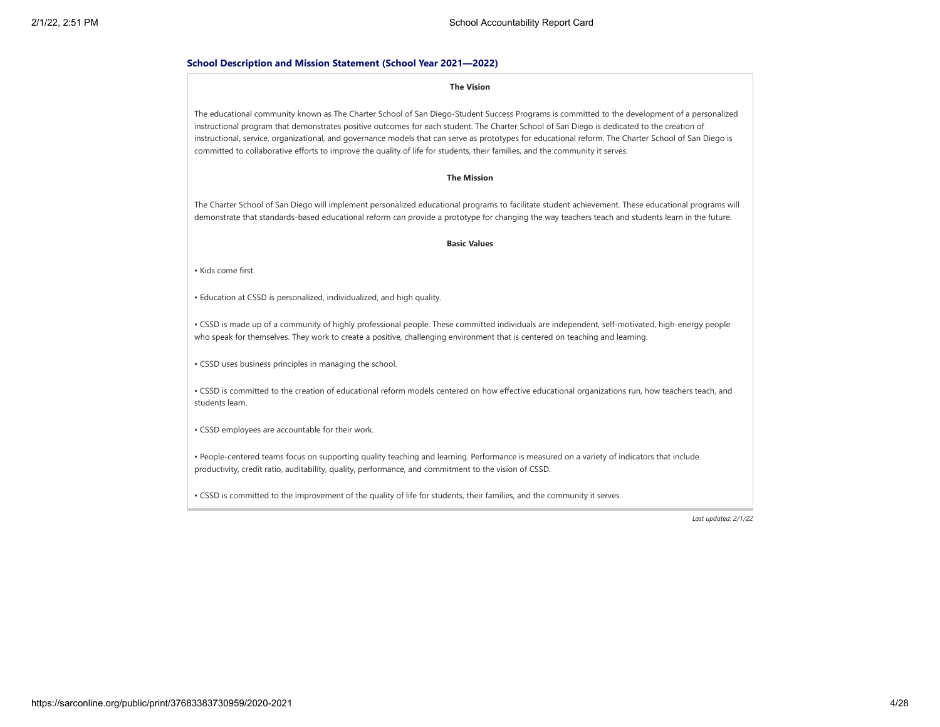#### **School Description and Mission Statement (School Year 2021—2022)**

#### **The Vision**

The educational community known as The Charter School of San Diego-Student Success Programs is committed to the development of a personalized instructional program that demonstrates positive outcomes for each student. The Charter School of San Diego is dedicated to the creation of instructional, service, organizational, and governance models that can serve as prototypes for educational reform. The Charter School of San Diego is committed to collaborative efforts to improve the quality of life for students, their families, and the community it serves.

#### **The Mission**

The Charter School of San Diego will implement personalized educational programs to facilitate student achievement. These educational programs will demonstrate that standards-based educational reform can provide a prototype for changing the way teachers teach and students learn in the future.

#### **Basic Values**

• Kids come first.

• Education at CSSD is personalized, individualized, and high quality.

• CSSD is made up of a community of highly professional people. These committed individuals are independent, self-motivated, high-energy people who speak for themselves. They work to create a positive, challenging environment that is centered on teaching and learning.

• CSSD uses business principles in managing the school.

• CSSD is committed to the creation of educational reform models centered on how effective educational organizations run, how teachers teach, and students learn.

• CSSD employees are accountable for their work.

• People-centered teams focus on supporting quality teaching and learning. Performance is measured on a variety of indicators that include productivity, credit ratio, auditability, quality, performance, and commitment to the vision of CSSD.

• CSSD is committed to the improvement of the quality of life for students, their families, and the community it serves.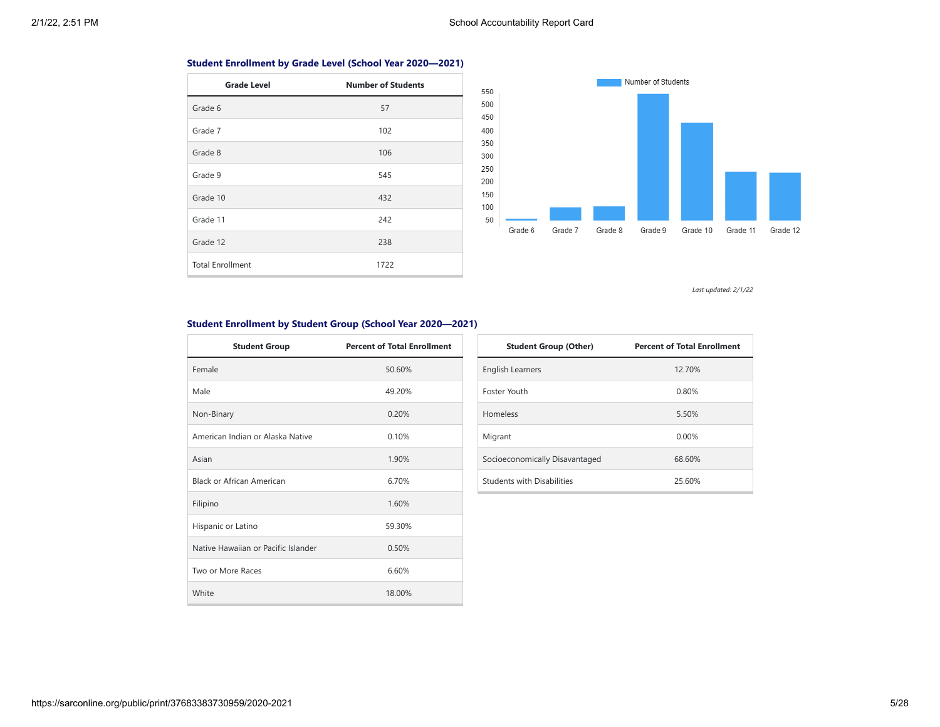## **Student Enrollment by Grade Level (School Year 2020—2021)**

| <b>Grade Level</b>      | <b>Number of Students</b> |
|-------------------------|---------------------------|
| Grade 6                 | 57                        |
| Grade 7                 | 102                       |
| Grade 8                 | 106                       |
| Grade 9                 | 545                       |
| Grade 10                | 432                       |
| Grade 11                | 242                       |
| Grade 12                | 238                       |
| <b>Total Enrollment</b> | 1722                      |



*Last updated: 2/1/22*

## **Student Enrollment by Student Group (School Year 2020—2021)**

| <b>Student Group</b>                | <b>Percent of Total Enrollment</b> |
|-------------------------------------|------------------------------------|
| Female                              | 50.60%                             |
| Male                                | 49.20%                             |
| Non-Binary                          | 0.20%                              |
| American Indian or Alaska Native    | 0.10%                              |
| Asian                               | 1.90%                              |
| Black or African American           | 6.70%                              |
| Filipino                            | 1.60%                              |
| Hispanic or Latino                  | 59.30%                             |
| Native Hawaiian or Pacific Islander | 0.50%                              |
| Two or More Races                   | 6.60%                              |
| White                               | 18.00%                             |

| <b>Student Group (Other)</b>   | <b>Percent of Total Enrollment</b> |
|--------------------------------|------------------------------------|
| <b>English Learners</b>        | 12.70%                             |
| <b>Foster Youth</b>            | 0.80%                              |
| Homeless                       | 5.50%                              |
| Migrant                        | 0.00%                              |
| Socioeconomically Disavantaged | 68.60%                             |
| Students with Disabilities     | 25.60%                             |

## https://sarconline.org/public/print/37683383730959/2020-2021 5/28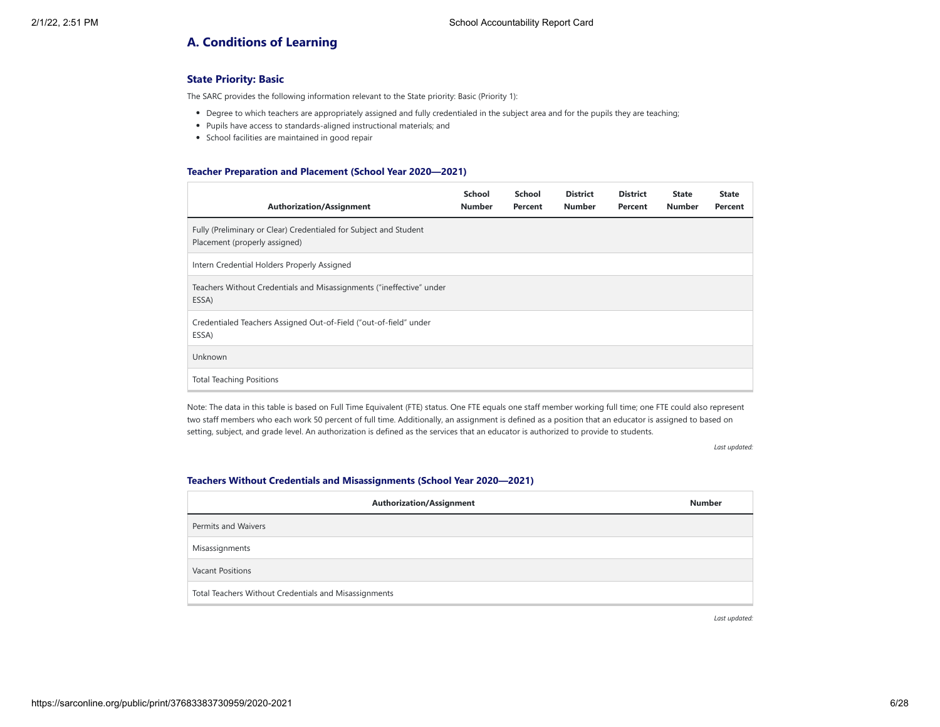# **A. Conditions of Learning**

## **State Priority: Basic**

The SARC provides the following information relevant to the State priority: Basic (Priority 1):

- Degree to which teachers are appropriately assigned and fully credentialed in the subject area and for the pupils they are teaching;
- Pupils have access to standards-aligned instructional materials; and
- School facilities are maintained in good repair

#### **Teacher Preparation and Placement (School Year 2020—2021)**

| <b>Authorization/Assignment</b>                                                                    | School<br><b>Number</b> | School<br>Percent | <b>District</b><br><b>Number</b> | <b>District</b><br>Percent | <b>State</b><br><b>Number</b> | <b>State</b><br>Percent |
|----------------------------------------------------------------------------------------------------|-------------------------|-------------------|----------------------------------|----------------------------|-------------------------------|-------------------------|
| Fully (Preliminary or Clear) Credentialed for Subject and Student<br>Placement (properly assigned) |                         |                   |                                  |                            |                               |                         |
| Intern Credential Holders Properly Assigned                                                        |                         |                   |                                  |                            |                               |                         |
| Teachers Without Credentials and Misassignments ("ineffective" under<br>ESSA)                      |                         |                   |                                  |                            |                               |                         |
| Credentialed Teachers Assigned Out-of-Field ("out-of-field" under<br>ESSA)                         |                         |                   |                                  |                            |                               |                         |
| Unknown                                                                                            |                         |                   |                                  |                            |                               |                         |
| <b>Total Teaching Positions</b>                                                                    |                         |                   |                                  |                            |                               |                         |

Note: The data in this table is based on Full Time Equivalent (FTE) status. One FTE equals one staff member working full time; one FTE could also represent two staff members who each work 50 percent of full time. Additionally, an assignment is defined as a position that an educator is assigned to based on setting, subject, and grade level. An authorization is defined as the services that an educator is authorized to provide to students.

*Last updated:*

#### **Teachers Without Credentials and Misassignments (School Year 2020—2021)**

| <b>Authorization/Assignment</b>                       | <b>Number</b> |
|-------------------------------------------------------|---------------|
| Permits and Waivers                                   |               |
| Misassignments                                        |               |
| <b>Vacant Positions</b>                               |               |
| Total Teachers Without Credentials and Misassignments |               |

*Last updated:*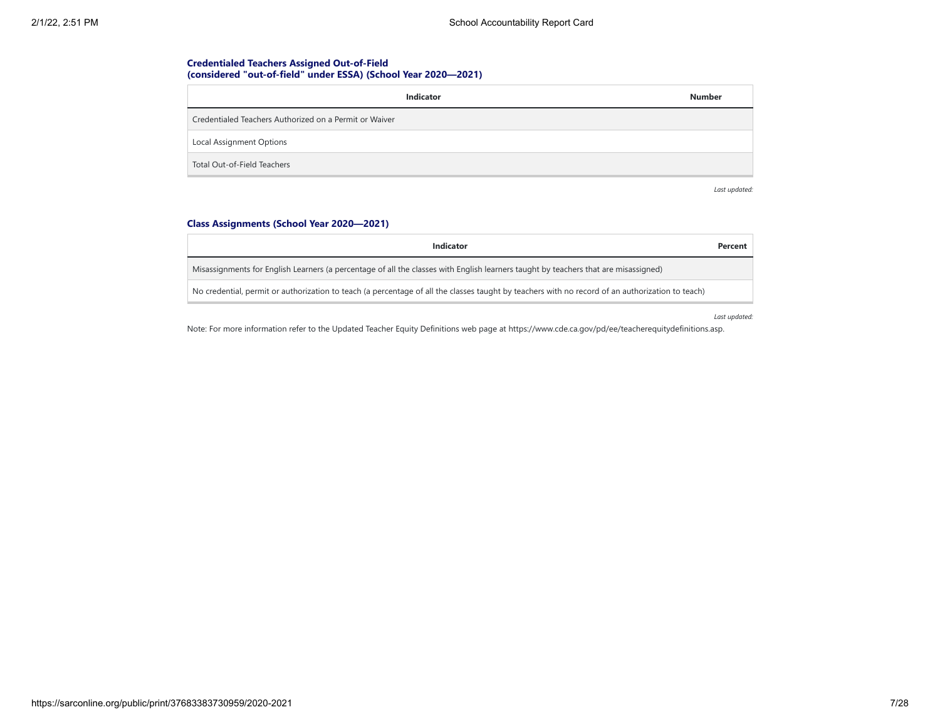## **Credentialed Teachers Assigned Out-of-Field (considered "out-of-field" under ESSA) (School Year 2020—2021)**

| Indicator                                              | <b>Number</b> |
|--------------------------------------------------------|---------------|
| Credentialed Teachers Authorized on a Permit or Waiver |               |
| Local Assignment Options                               |               |
| Total Out-of-Field Teachers                            |               |

*Last updated:*

## **Class Assignments (School Year 2020—2021)**

| <b>Indicator</b>                                                                                                                                 | Percent |
|--------------------------------------------------------------------------------------------------------------------------------------------------|---------|
| Misassignments for English Learners (a percentage of all the classes with English learners taught by teachers that are misassigned)              |         |
| No credential, permit or authorization to teach (a percentage of all the classes taught by teachers with no record of an authorization to teach) |         |

*Last updated:*

Note: For more information refer to the Updated Teacher Equity Definitions web page at https://www.cde.ca.gov/pd/ee/teacherequitydefinitions.asp.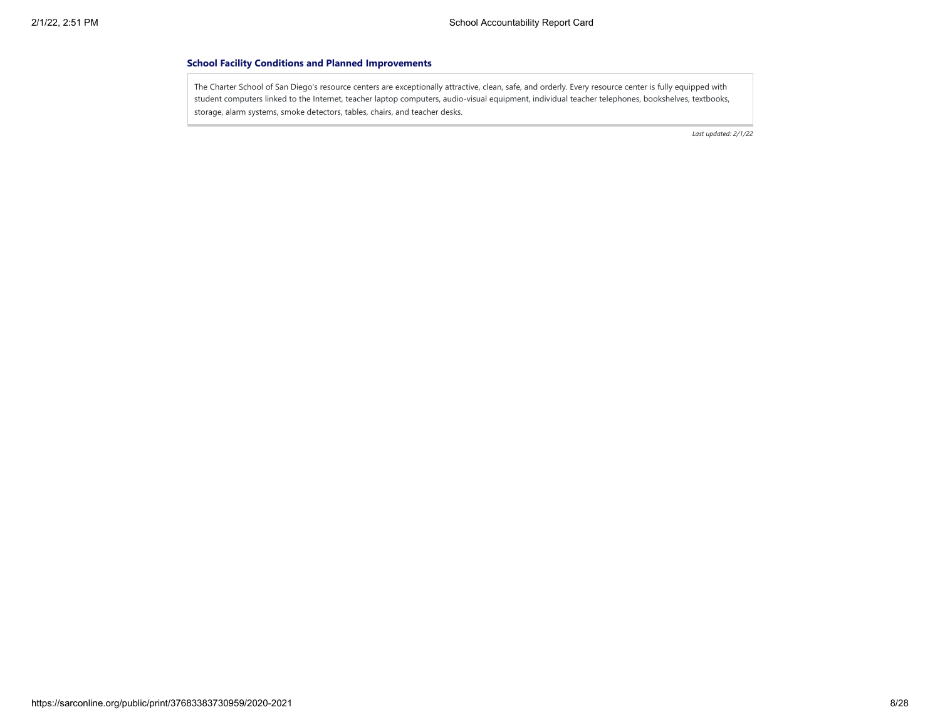#### **School Facility Conditions and Planned Improvements**

The Charter School of San Diego's resource centers are exceptionally attractive, clean, safe, and orderly. Every resource center is fully equipped with student computers linked to the Internet, teacher laptop computers, audio-visual equipment, individual teacher telephones, bookshelves, textbooks, storage, alarm systems, smoke detectors, tables, chairs, and teacher desks.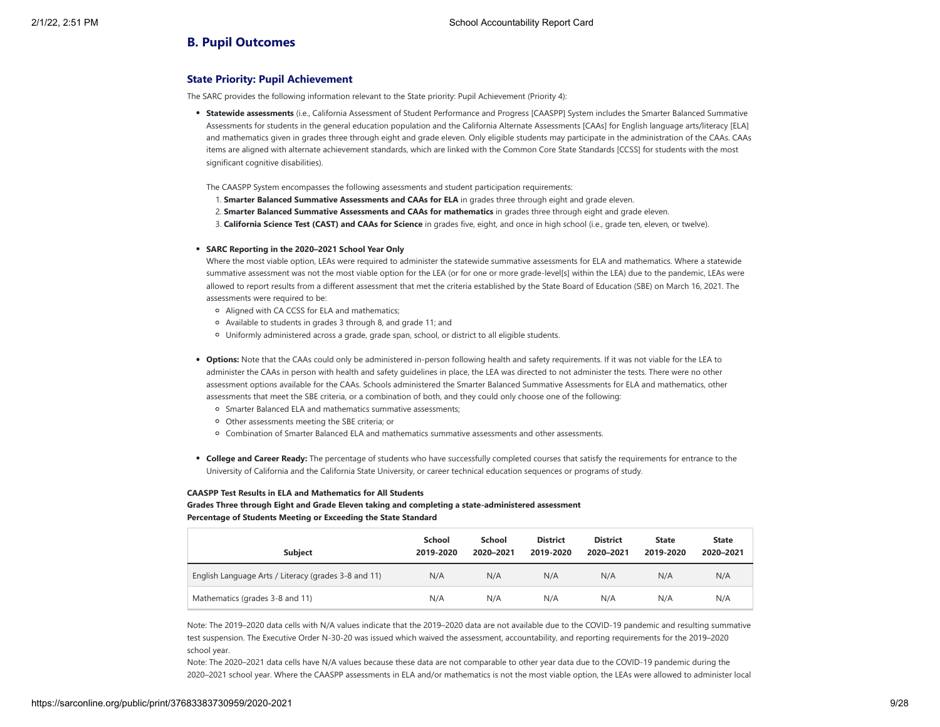## **B. Pupil Outcomes**

## **State Priority: Pupil Achievement**

The SARC provides the following information relevant to the State priority: Pupil Achievement (Priority 4):

- **Statewide assessments** (i.e., California Assessment of Student Performance and Progress [CAASPP] System includes the Smarter Balanced Summative Assessments for students in the general education population and the California Alternate Assessments [CAAs] for English language arts/literacy [ELA] and mathematics given in grades three through eight and grade eleven. Only eligible students may participate in the administration of the CAAs. CAAs items are aligned with alternate achievement standards, which are linked with the Common Core State Standards [CCSS] for students with the most significant cognitive disabilities).
- The CAASPP System encompasses the following assessments and student participation requirements:
- 1. **Smarter Balanced Summative Assessments and CAAs for ELA** in grades three through eight and grade eleven.
- 2. **Smarter Balanced Summative Assessments and CAAs for mathematics** in grades three through eight and grade eleven.
- 3. **California Science Test (CAST) and CAAs for Science** in grades five, eight, and once in high school (i.e., grade ten, eleven, or twelve).

#### **SARC Reporting in the 2020–2021 School Year Only**

Where the most viable option, LEAs were required to administer the statewide summative assessments for ELA and mathematics. Where a statewide summative assessment was not the most viable option for the LEA (or for one or more grade-level[s] within the LEA) due to the pandemic, LEAs were allowed to report results from a different assessment that met the criteria established by the State Board of Education (SBE) on March 16, 2021. The assessments were required to be:

- Aligned with CA CCSS for ELA and mathematics;
- Available to students in grades 3 through 8, and grade 11; and
- Uniformly administered across a grade, grade span, school, or district to all eligible students.
- **Options:** Note that the CAAs could only be administered in-person following health and safety requirements. If it was not viable for the LEA to administer the CAAs in person with health and safety guidelines in place, the LEA was directed to not administer the tests. There were no other assessment options available for the CAAs. Schools administered the Smarter Balanced Summative Assessments for ELA and mathematics, other assessments that meet the SBE criteria, or a combination of both, and they could only choose one of the following:
	- Smarter Balanced ELA and mathematics summative assessments;
	- Other assessments meeting the SBE criteria; or
	- Combination of Smarter Balanced ELA and mathematics summative assessments and other assessments.
- **College and Career Ready:** The percentage of students who have successfully completed courses that satisfy the requirements for entrance to the University of California and the California State University, or career technical education sequences or programs of study.

#### **CAASPP Test Results in ELA and Mathematics for All Students**

**Grades Three through Eight and Grade Eleven taking and completing a state-administered assessment Percentage of Students Meeting or Exceeding the State Standard**

| <b>Subject</b>                                       | <b>School</b><br>2019-2020 | <b>School</b><br>2020-2021 | <b>District</b><br>2019-2020 | <b>District</b><br>2020-2021 | <b>State</b><br>2019-2020 | <b>State</b><br>2020-2021 |
|------------------------------------------------------|----------------------------|----------------------------|------------------------------|------------------------------|---------------------------|---------------------------|
| English Language Arts / Literacy (grades 3-8 and 11) | N/A                        | N/A                        | N/A                          | N/A                          | N/A                       | N/A                       |
| Mathematics (grades 3-8 and 11)                      | N/A                        | N/A                        | N/A                          | N/A                          | N/A                       | N/A                       |

Note: The 2019–2020 data cells with N/A values indicate that the 2019–2020 data are not available due to the COVID-19 pandemic and resulting summative test suspension. The Executive Order N-30-20 was issued which waived the assessment, accountability, and reporting requirements for the 2019–2020 school year.

Note: The 2020–2021 data cells have N/A values because these data are not comparable to other year data due to the COVID-19 pandemic during the 2020–2021 school year. Where the CAASPP assessments in ELA and/or mathematics is not the most viable option, the LEAs were allowed to administer local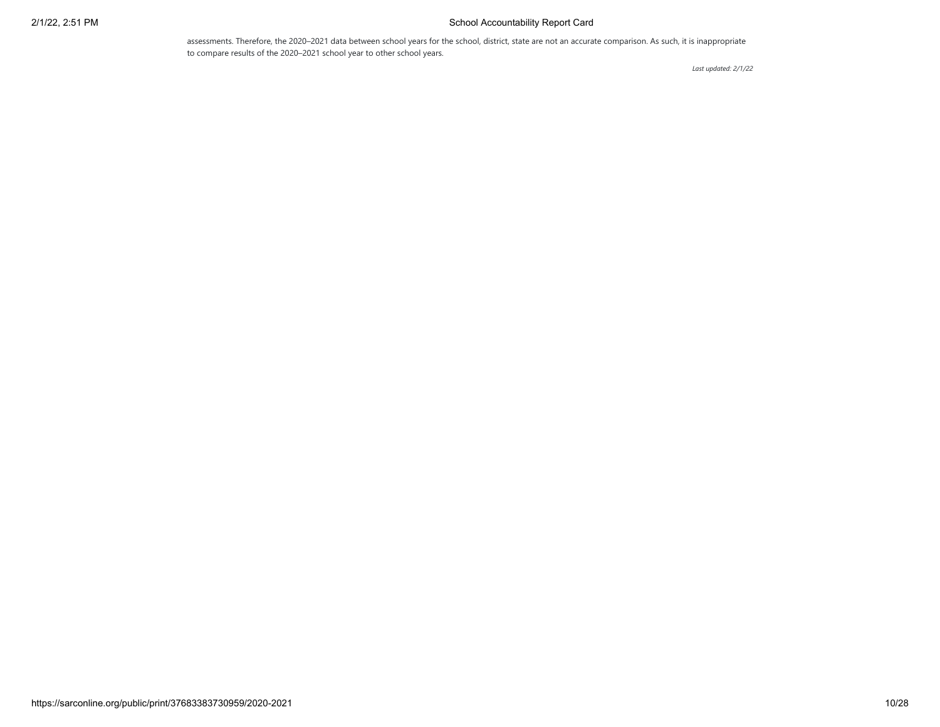## 2/1/22, 2:51 PM School Accountability Report Card

assessments. Therefore, the 2020–2021 data between school years for the school, district, state are not an accurate comparison. As such, it is inappropriate to compare results of the 2020–2021 school year to other school years.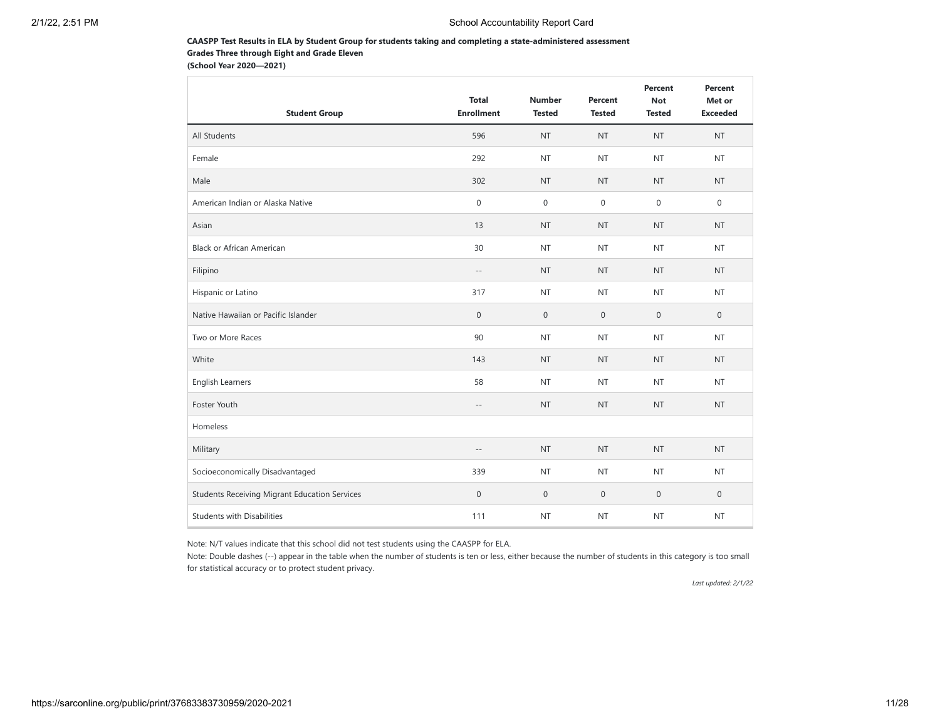### **CAASPP Test Results in ELA by Student Group for students taking and completing a state-administered assessment Grades Three through Eight and Grade Eleven**

**(School Year 2020—2021)**

| <b>Student Group</b>                                 | <b>Total</b><br><b>Enrollment</b> | <b>Number</b><br><b>Tested</b> | Percent<br><b>Tested</b> | Percent<br><b>Not</b><br><b>Tested</b> | Percent<br>Met or<br><b>Exceeded</b> |
|------------------------------------------------------|-----------------------------------|--------------------------------|--------------------------|----------------------------------------|--------------------------------------|
| All Students                                         | 596                               | <b>NT</b>                      | <b>NT</b>                | <b>NT</b>                              | <b>NT</b>                            |
| Female                                               | 292                               | <b>NT</b>                      | <b>NT</b>                | <b>NT</b>                              | <b>NT</b>                            |
| Male                                                 | 302                               | <b>NT</b>                      | <b>NT</b>                | <b>NT</b>                              | <b>NT</b>                            |
| American Indian or Alaska Native                     | $\mathsf{O}\xspace$               | $\mathbf{0}$                   | $\mathbf{0}$             | $\mathbf 0$                            | $\mathbf 0$                          |
| Asian                                                | 13                                | <b>NT</b>                      | <b>NT</b>                | <b>NT</b>                              | <b>NT</b>                            |
| <b>Black or African American</b>                     | 30                                | <b>NT</b>                      | <b>NT</b>                | <b>NT</b>                              | <b>NT</b>                            |
| Filipino                                             | $\overline{\phantom{a}}$ .        | <b>NT</b>                      | <b>NT</b>                | <b>NT</b>                              | <b>NT</b>                            |
| Hispanic or Latino                                   | 317                               | <b>NT</b>                      | <b>NT</b>                | <b>NT</b>                              | <b>NT</b>                            |
| Native Hawaiian or Pacific Islander                  | $\mathbf 0$                       | $\mathbf{0}$                   | $\mathbf 0$              | $\mathbf{0}$                           | $\mathbf{0}$                         |
| Two or More Races                                    | 90                                | <b>NT</b>                      | <b>NT</b>                | <b>NT</b>                              | <b>NT</b>                            |
| White                                                | 143                               | <b>NT</b>                      | <b>NT</b>                | <b>NT</b>                              | <b>NT</b>                            |
| <b>English Learners</b>                              | 58                                | <b>NT</b>                      | <b>NT</b>                | <b>NT</b>                              | <b>NT</b>                            |
| Foster Youth                                         | $\overline{\phantom{a}}$ .        | <b>NT</b>                      | <b>NT</b>                | <b>NT</b>                              | <b>NT</b>                            |
| Homeless                                             |                                   |                                |                          |                                        |                                      |
| Military                                             | $\sim$ $-$                        | <b>NT</b>                      | <b>NT</b>                | <b>NT</b>                              | <b>NT</b>                            |
| Socioeconomically Disadvantaged                      | 339                               | <b>NT</b>                      | <b>NT</b>                | <b>NT</b>                              | <b>NT</b>                            |
| <b>Students Receiving Migrant Education Services</b> | $\mathsf{O}\xspace$               | $\mathbf 0$                    | $\mathbf 0$              | $\mathbf 0$                            | $\mathbf 0$                          |
| <b>Students with Disabilities</b>                    | 111                               | <b>NT</b>                      | <b>NT</b>                | <b>NT</b>                              | <b>NT</b>                            |

Note: N/T values indicate that this school did not test students using the CAASPP for ELA.

Note: Double dashes (--) appear in the table when the number of students is ten or less, either because the number of students in this category is too small for statistical accuracy or to protect student privacy.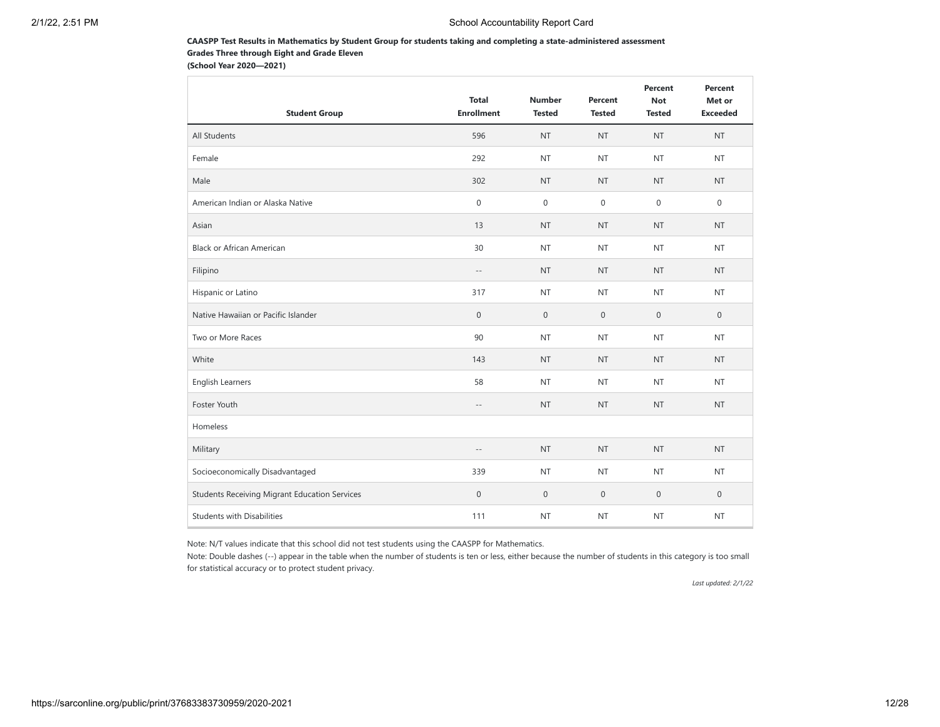#### **CAASPP Test Results in Mathematics by Student Group for students taking and completing a state-administered assessment Grades Three through Eight and Grade Eleven**

**(School Year 2020—2021)**

| <b>Student Group</b>                                 | <b>Total</b><br><b>Enrollment</b> | <b>Number</b><br><b>Tested</b> | Percent<br><b>Tested</b> | Percent<br><b>Not</b><br><b>Tested</b> | Percent<br>Met or<br><b>Exceeded</b> |
|------------------------------------------------------|-----------------------------------|--------------------------------|--------------------------|----------------------------------------|--------------------------------------|
| All Students                                         | 596                               | <b>NT</b>                      | <b>NT</b>                | <b>NT</b>                              | <b>NT</b>                            |
| Female                                               | 292                               | <b>NT</b>                      | <b>NT</b>                | <b>NT</b>                              | <b>NT</b>                            |
| Male                                                 | 302                               | <b>NT</b>                      | <b>NT</b>                | <b>NT</b>                              | <b>NT</b>                            |
| American Indian or Alaska Native                     | $\mathbf 0$                       | $\mathbf 0$                    | $\mathbf 0$              | $\mathbf 0$                            | $\mathbf{0}$                         |
| Asian                                                | 13                                | <b>NT</b>                      | <b>NT</b>                | <b>NT</b>                              | <b>NT</b>                            |
| <b>Black or African American</b>                     | 30                                | <b>NT</b>                      | <b>NT</b>                | <b>NT</b>                              | <b>NT</b>                            |
| Filipino                                             | $\sim$ $-$                        | <b>NT</b>                      | <b>NT</b>                | <b>NT</b>                              | <b>NT</b>                            |
| Hispanic or Latino                                   | 317                               | <b>NT</b>                      | <b>NT</b>                | <b>NT</b>                              | <b>NT</b>                            |
| Native Hawaiian or Pacific Islander                  | $\boldsymbol{0}$                  | $\mathbf{0}$                   | $\mathbf 0$              | $\mathbf{0}$                           | $\mathbf{0}$                         |
| Two or More Races                                    | 90                                | <b>NT</b>                      | <b>NT</b>                | <b>NT</b>                              | <b>NT</b>                            |
| White                                                | 143                               | <b>NT</b>                      | <b>NT</b>                | <b>NT</b>                              | <b>NT</b>                            |
| <b>English Learners</b>                              | 58                                | <b>NT</b>                      | <b>NT</b>                | <b>NT</b>                              | <b>NT</b>                            |
| Foster Youth                                         | $\overline{\phantom{a}}$ .        | <b>NT</b>                      | <b>NT</b>                | <b>NT</b>                              | <b>NT</b>                            |
| Homeless                                             |                                   |                                |                          |                                        |                                      |
| Military                                             | $\qquad \qquad -$                 | <b>NT</b>                      | <b>NT</b>                | <b>NT</b>                              | <b>NT</b>                            |
| Socioeconomically Disadvantaged                      | 339                               | <b>NT</b>                      | <b>NT</b>                | <b>NT</b>                              | <b>NT</b>                            |
| <b>Students Receiving Migrant Education Services</b> | $\mathbf 0$                       | $\mathbf 0$                    | $\mathbf{0}$             | $\mathbf 0$                            | $\mathbf 0$                          |
| <b>Students with Disabilities</b>                    | 111                               | NT                             | <b>NT</b>                | <b>NT</b>                              | <b>NT</b>                            |

Note: N/T values indicate that this school did not test students using the CAASPP for Mathematics.

Note: Double dashes (--) appear in the table when the number of students is ten or less, either because the number of students in this category is too small for statistical accuracy or to protect student privacy.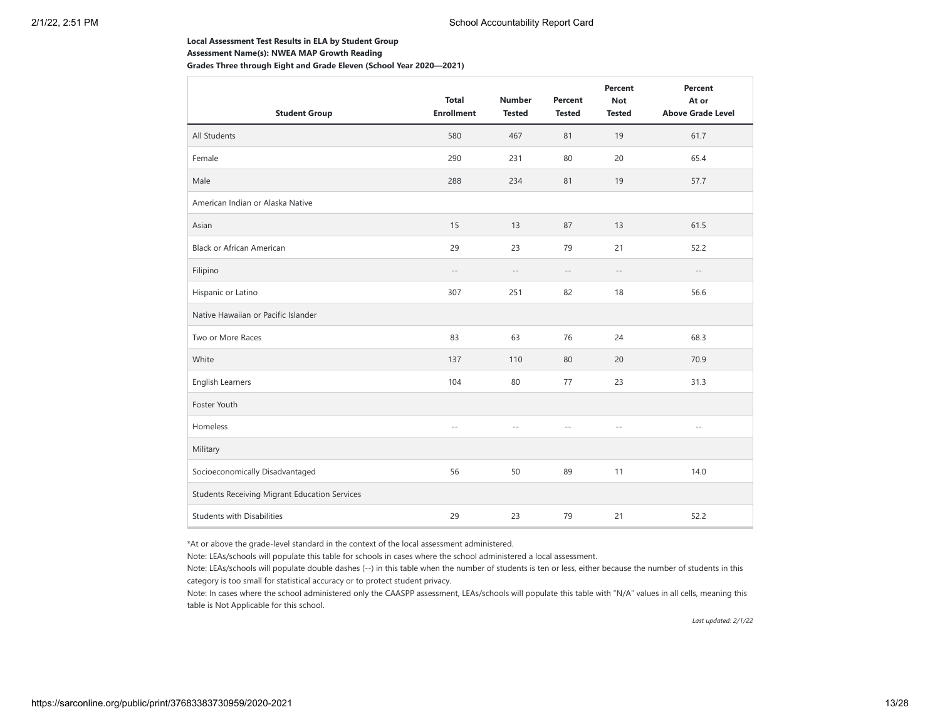#### **Local Assessment Test Results in ELA by Student Group**

**Assessment Name(s): NWEA MAP Growth Reading**

**Grades Three through Eight and Grade Eleven (School Year 2020—2021)**

| <b>Student Group</b>                                 | <b>Total</b><br><b>Enrollment</b> | <b>Number</b><br><b>Tested</b> | Percent<br><b>Tested</b> | Percent<br><b>Not</b><br><b>Tested</b> | Percent<br>At or<br><b>Above Grade Level</b> |
|------------------------------------------------------|-----------------------------------|--------------------------------|--------------------------|----------------------------------------|----------------------------------------------|
| All Students                                         | 580                               | 467                            | 81                       | 19                                     | 61.7                                         |
| Female                                               | 290                               | 231                            | 80                       | 20                                     | 65.4                                         |
| Male                                                 | 288                               | 234                            | 81                       | 19                                     | 57.7                                         |
| American Indian or Alaska Native                     |                                   |                                |                          |                                        |                                              |
| Asian                                                | 15                                | 13                             | 87                       | 13                                     | 61.5                                         |
| <b>Black or African American</b>                     | 29                                | 23                             | 79                       | 21                                     | 52.2                                         |
| Filipino                                             | $- -$                             | $- -$                          | $-\,-$                   | $-\,-$                                 | $-\,-$                                       |
| Hispanic or Latino                                   | 307                               | 251                            | 82                       | 18                                     | 56.6                                         |
| Native Hawaiian or Pacific Islander                  |                                   |                                |                          |                                        |                                              |
| Two or More Races                                    | 83                                | 63                             | 76                       | 24                                     | 68.3                                         |
| White                                                | 137                               | 110                            | 80                       | 20                                     | 70.9                                         |
| English Learners                                     | 104                               | 80                             | 77                       | 23                                     | 31.3                                         |
| Foster Youth                                         |                                   |                                |                          |                                        |                                              |
| Homeless                                             | Ξ.                                | $\sim$                         |                          | $-$                                    | $\sim$                                       |
| Military                                             |                                   |                                |                          |                                        |                                              |
| Socioeconomically Disadvantaged                      | 56                                | 50                             | 89                       | 11                                     | 14.0                                         |
| <b>Students Receiving Migrant Education Services</b> |                                   |                                |                          |                                        |                                              |
| <b>Students with Disabilities</b>                    | 29                                | 23                             | 79                       | 21                                     | 52.2                                         |

\*At or above the grade-level standard in the context of the local assessment administered.

Note: LEAs/schools will populate this table for schools in cases where the school administered a local assessment.

Note: LEAs/schools will populate double dashes (--) in this table when the number of students is ten or less, either because the number of students in this category is too small for statistical accuracy or to protect student privacy.

Note: In cases where the school administered only the CAASPP assessment, LEAs/schools will populate this table with "N/A" values in all cells, meaning this table is Not Applicable for this school.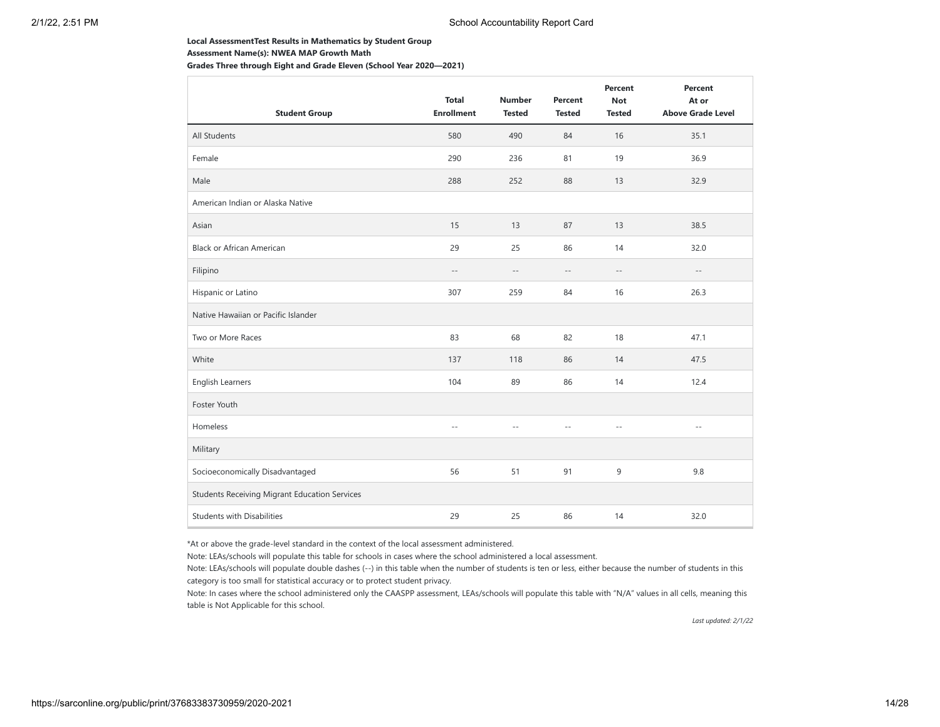#### **Local AssessmentTest Results in Mathematics by Student Group**

**Assessment Name(s): NWEA MAP Growth Math**

**Grades Three through Eight and Grade Eleven (School Year 2020—2021)**

| <b>Student Group</b>                                 | <b>Total</b><br><b>Enrollment</b> | <b>Number</b><br><b>Tested</b> | Percent<br><b>Tested</b> | Percent<br><b>Not</b><br><b>Tested</b> | Percent<br>At or<br><b>Above Grade Level</b> |
|------------------------------------------------------|-----------------------------------|--------------------------------|--------------------------|----------------------------------------|----------------------------------------------|
| All Students                                         | 580                               | 490                            | 84                       | 16                                     | 35.1                                         |
| Female                                               | 290                               | 236                            | 81                       | 19                                     | 36.9                                         |
| Male                                                 | 288                               | 252                            | 88                       | 13                                     | 32.9                                         |
| American Indian or Alaska Native                     |                                   |                                |                          |                                        |                                              |
| Asian                                                | 15                                | 13                             | 87                       | 13                                     | 38.5                                         |
| <b>Black or African American</b>                     | 29                                | 25                             | 86                       | 14                                     | 32.0                                         |
| Filipino                                             | $-\,-$                            | $- -$                          | $\overline{\phantom{a}}$ | $\sim$ $-$                             | $\overline{\phantom{a}}$ .                   |
| Hispanic or Latino                                   | 307                               | 259                            | 84                       | 16                                     | 26.3                                         |
| Native Hawaiian or Pacific Islander                  |                                   |                                |                          |                                        |                                              |
| Two or More Races                                    | 83                                | 68                             | 82                       | 18                                     | 47.1                                         |
| White                                                | 137                               | 118                            | 86                       | 14                                     | 47.5                                         |
| <b>English Learners</b>                              | 104                               | 89                             | 86                       | 14                                     | 12.4                                         |
| Foster Youth                                         |                                   |                                |                          |                                        |                                              |
| Homeless                                             | $-$                               | $-$                            |                          | $-$                                    | $\sim$ $-$                                   |
| Military                                             |                                   |                                |                          |                                        |                                              |
| Socioeconomically Disadvantaged                      | 56                                | 51                             | 91                       | 9                                      | 9.8                                          |
| <b>Students Receiving Migrant Education Services</b> |                                   |                                |                          |                                        |                                              |
| <b>Students with Disabilities</b>                    | 29                                | 25                             | 86                       | 14                                     | 32.0                                         |

\*At or above the grade-level standard in the context of the local assessment administered.

Note: LEAs/schools will populate this table for schools in cases where the school administered a local assessment.

Note: LEAs/schools will populate double dashes (--) in this table when the number of students is ten or less, either because the number of students in this category is too small for statistical accuracy or to protect student privacy.

Note: In cases where the school administered only the CAASPP assessment, LEAs/schools will populate this table with "N/A" values in all cells, meaning this table is Not Applicable for this school.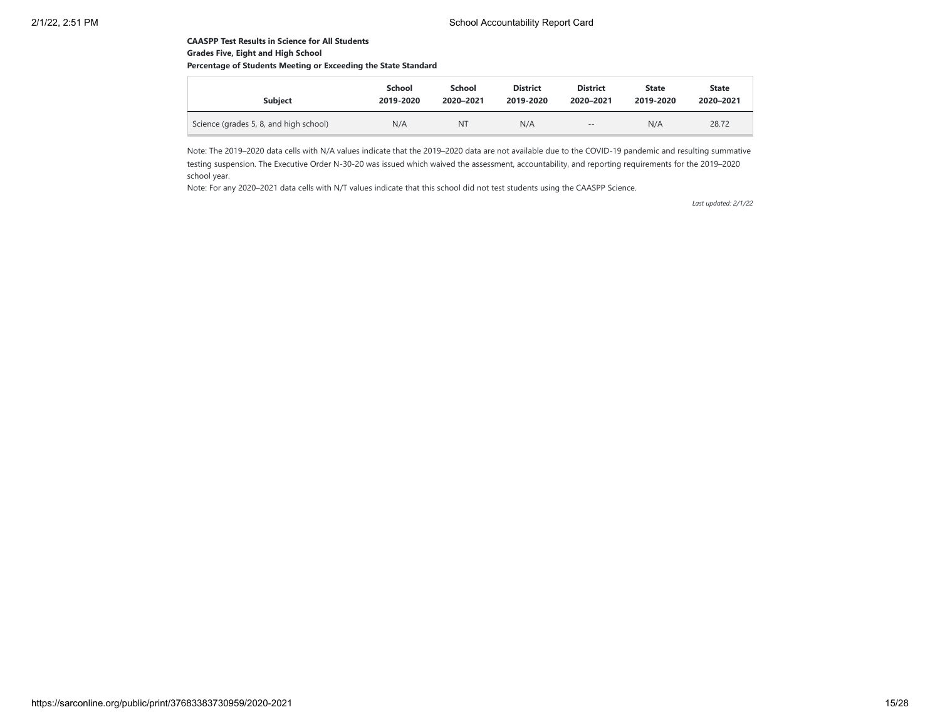## **CAASPP Test Results in Science for All Students Grades Five, Eight and High School**

## **Percentage of Students Meeting or Exceeding the State Standard**

| <b>Subject</b>                         | School    | School    | <b>District</b> | <b>District</b> | State     | <b>State</b> |
|----------------------------------------|-----------|-----------|-----------------|-----------------|-----------|--------------|
|                                        | 2019-2020 | 2020-2021 | 2019-2020       | 2020-2021       | 2019-2020 | 2020-2021    |
| Science (grades 5, 8, and high school) | N/A       | NT        | N/A             | $- -$           | N/A       | 28.72        |

Note: The 2019–2020 data cells with N/A values indicate that the 2019–2020 data are not available due to the COVID-19 pandemic and resulting summative testing suspension. The Executive Order N-30-20 was issued which waived the assessment, accountability, and reporting requirements for the 2019–2020 school year.

Note: For any 2020–2021 data cells with N/T values indicate that this school did not test students using the CAASPP Science.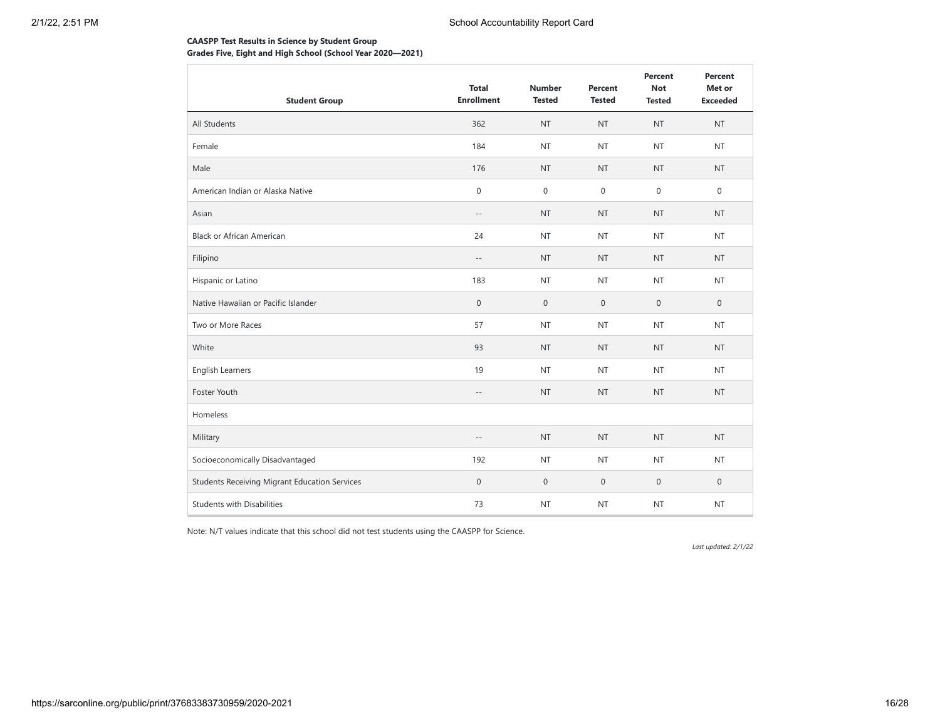## **CAASPP Test Results in Science by Student Group Grades Five, Eight and High School (School Year 2020—2021)**

| <b>Student Group</b>                                 | <b>Total</b><br><b>Enrollment</b> | <b>Number</b><br><b>Tested</b> | Percent<br><b>Tested</b> | Percent<br><b>Not</b><br><b>Tested</b> | Percent<br>Met or<br><b>Exceeded</b> |
|------------------------------------------------------|-----------------------------------|--------------------------------|--------------------------|----------------------------------------|--------------------------------------|
| All Students                                         | 362                               | <b>NT</b>                      | <b>NT</b>                | <b>NT</b>                              | <b>NT</b>                            |
| Female                                               | 184                               | <b>NT</b>                      | <b>NT</b>                | <b>NT</b>                              | <b>NT</b>                            |
| Male                                                 | 176                               | <b>NT</b>                      | <b>NT</b>                | <b>NT</b>                              | <b>NT</b>                            |
| American Indian or Alaska Native                     | $\mathbf 0$                       | $\boldsymbol{0}$               | $\mathsf{O}\xspace$      | $\mathbf 0$                            | $\mathbf{0}$                         |
| Asian                                                | $-\,-$                            | <b>NT</b>                      | <b>NT</b>                | <b>NT</b>                              | <b>NT</b>                            |
| <b>Black or African American</b>                     | 24                                | <b>NT</b>                      | <b>NT</b>                | <b>NT</b>                              | <b>NT</b>                            |
| Filipino                                             | $-\,-$                            | <b>NT</b>                      | <b>NT</b>                | <b>NT</b>                              | <b>NT</b>                            |
| Hispanic or Latino                                   | 183                               | <b>NT</b>                      | <b>NT</b>                | <b>NT</b>                              | <b>NT</b>                            |
| Native Hawaiian or Pacific Islander                  | $\boldsymbol{0}$                  | $\mathbf{0}$                   | $\mathbf 0$              | $\mathbf{0}$                           | $\mathbf{0}$                         |
| Two or More Races                                    | 57                                | <b>NT</b>                      | <b>NT</b>                | <b>NT</b>                              | <b>NT</b>                            |
| White                                                | 93                                | <b>NT</b>                      | <b>NT</b>                | <b>NT</b>                              | <b>NT</b>                            |
| <b>English Learners</b>                              | 19                                | <b>NT</b>                      | <b>NT</b>                | <b>NT</b>                              | <b>NT</b>                            |
| Foster Youth                                         | $-\,-$                            | <b>NT</b>                      | <b>NT</b>                | <b>NT</b>                              | <b>NT</b>                            |
| Homeless                                             |                                   |                                |                          |                                        |                                      |
| Military                                             | $\sim$ $\sim$                     | <b>NT</b>                      | <b>NT</b>                | <b>NT</b>                              | <b>NT</b>                            |
| Socioeconomically Disadvantaged                      | 192                               | <b>NT</b>                      | <b>NT</b>                | <b>NT</b>                              | <b>NT</b>                            |
| <b>Students Receiving Migrant Education Services</b> | $\boldsymbol{0}$                  | $\mathsf{O}\xspace$            | $\boldsymbol{0}$         | $\mathbf 0$                            | $\mathbf{0}$                         |
| <b>Students with Disabilities</b>                    | 73                                | <b>NT</b>                      | <b>NT</b>                | <b>NT</b>                              | <b>NT</b>                            |

Note: N/T values indicate that this school did not test students using the CAASPP for Science.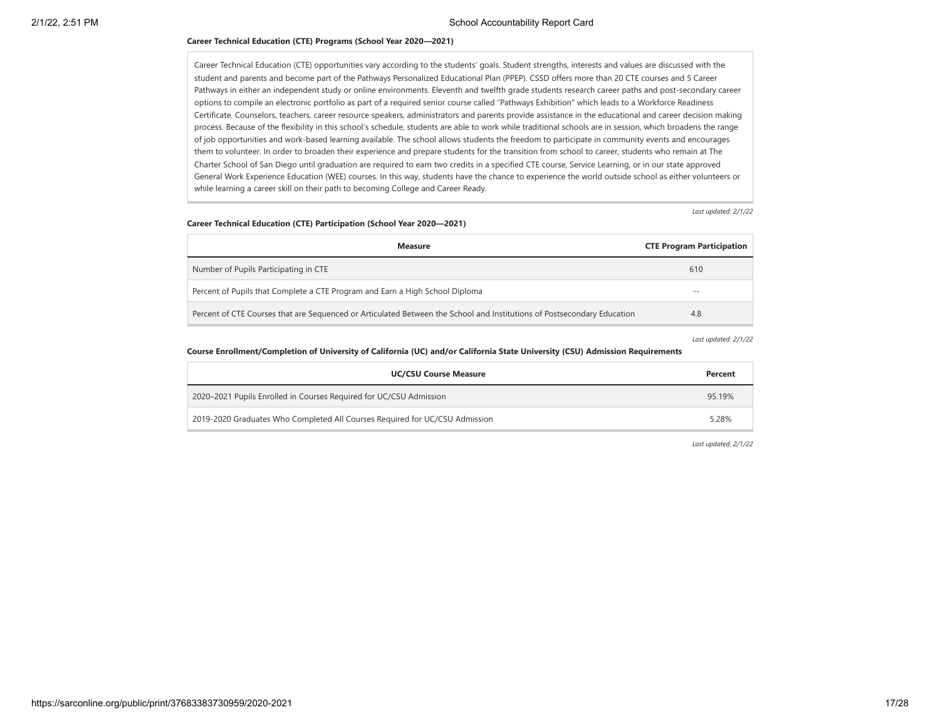#### **Career Technical Education (CTE) Programs (School Year 2020—2021)**

Career Technical Education (CTE) opportunities vary according to the students' goals. Student strengths, interests and values are discussed with the student and parents and become part of the Pathways Personalized Educational Plan (PPEP). CSSD offers more than 20 CTE courses and 5 Career Pathways in either an independent study or online environments. Eleventh and twelfth grade students research career paths and post-secondary career options to compile an electronic portfolio as part of a required senior course called "Pathways Exhibition" which leads to a Workforce Readiness Certificate. Counselors, teachers, career resource speakers, administrators and parents provide assistance in the educational and career decision making process. Because of the flexibility in this school's schedule, students are able to work while traditional schools are in session, which broadens the range of job opportunities and work-based learning available. The school allows students the freedom to participate in community events and encourages them to volunteer. In order to broaden their experience and prepare students for the transition from school to career, students who remain at The Charter School of San Diego until graduation are required to earn two credits in a specified CTE course, Service Learning, or in our state approved General Work Experience Education (WEE) courses. In this way, students have the chance to experience the world outside school as either volunteers or while learning a career skill on their path to becoming College and Career Ready.

*Last updated: 2/1/22*

#### **Career Technical Education (CTE) Participation (School Year 2020—2021)**

| <b>Measure</b>                                                                                                          | <b>CTE Program Participation</b> |
|-------------------------------------------------------------------------------------------------------------------------|----------------------------------|
| Number of Pupils Participating in CTE                                                                                   | 610                              |
| Percent of Pupils that Complete a CTE Program and Earn a High School Diploma                                            | $- -$                            |
| Percent of CTE Courses that are Sequenced or Articulated Between the School and Institutions of Postsecondary Education | 4.8                              |

*Last updated: 2/1/22*

#### **Course Enrollment/Completion of University of California (UC) and/or California State University (CSU) Admission Requirements**

| <b>UC/CSU Course Measure</b>                                                | Percent |
|-----------------------------------------------------------------------------|---------|
| 2020–2021 Pupils Enrolled in Courses Required for UC/CSU Admission          | 95.19%  |
| 2019-2020 Graduates Who Completed All Courses Required for UC/CSU Admission | 5.28%   |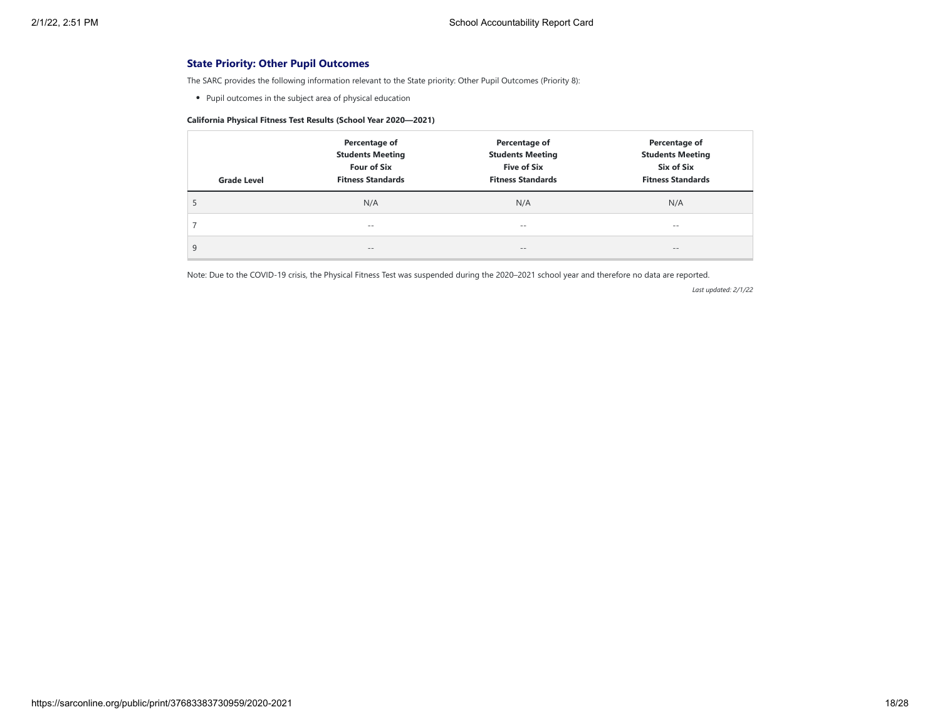## **State Priority: Other Pupil Outcomes**

The SARC provides the following information relevant to the State priority: Other Pupil Outcomes (Priority 8):

Pupil outcomes in the subject area of physical education

## **California Physical Fitness Test Results (School Year 2020—2021)**

| <b>Grade Level</b> | Percentage of<br><b>Students Meeting</b><br><b>Four of Six</b><br><b>Fitness Standards</b> | Percentage of<br><b>Students Meeting</b><br><b>Five of Six</b><br><b>Fitness Standards</b> | Percentage of<br><b>Students Meeting</b><br>Six of Six<br><b>Fitness Standards</b> |
|--------------------|--------------------------------------------------------------------------------------------|--------------------------------------------------------------------------------------------|------------------------------------------------------------------------------------|
| C                  | N/A                                                                                        | N/A                                                                                        | N/A                                                                                |
|                    | $- -$                                                                                      | $- -$                                                                                      | $- -$                                                                              |
| 9                  | $\qquad \qquad -$                                                                          | $\qquad \qquad -$                                                                          | $\qquad \qquad -$                                                                  |

Note: Due to the COVID-19 crisis, the Physical Fitness Test was suspended during the 2020–2021 school year and therefore no data are reported.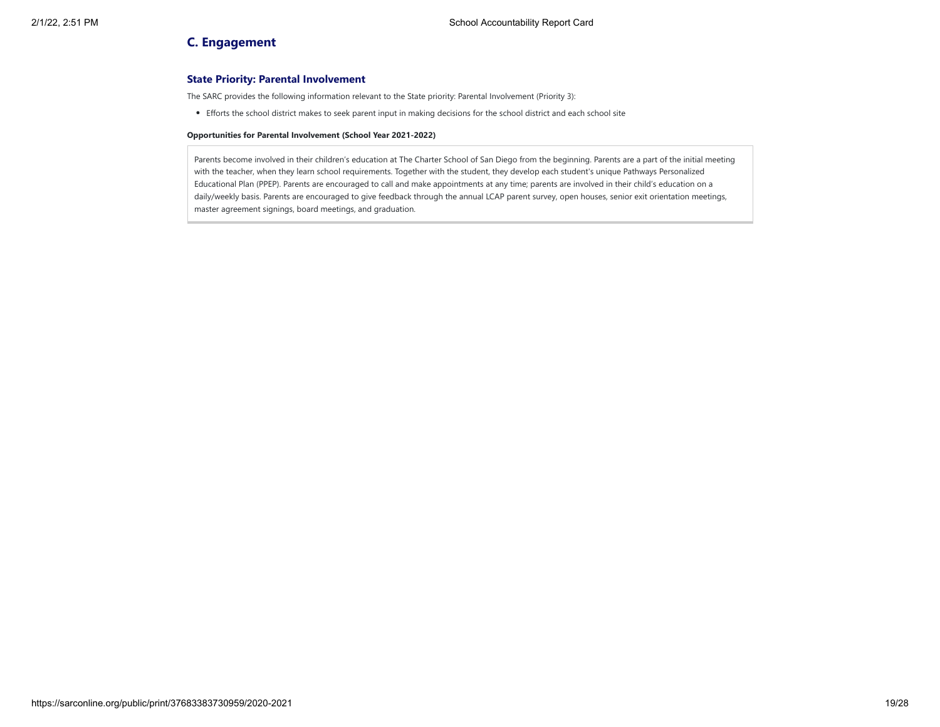## **C. Engagement**

## **State Priority: Parental Involvement**

The SARC provides the following information relevant to the State priority: Parental Involvement (Priority 3):

Efforts the school district makes to seek parent input in making decisions for the school district and each school site

#### **Opportunities for Parental Involvement (School Year 2021-2022)**

Parents become involved in their children's education at The Charter School of San Diego from the beginning. Parents are a part of the initial meeting with the teacher, when they learn school requirements. Together with the student, they develop each student's unique Pathways Personalized Educational Plan (PPEP). Parents are encouraged to call and make appointments at any time; parents are involved in their child's education on a daily/weekly basis. Parents are encouraged to give feedback through the annual LCAP parent survey, open houses, senior exit orientation meetings, master agreement signings, board meetings, and graduation.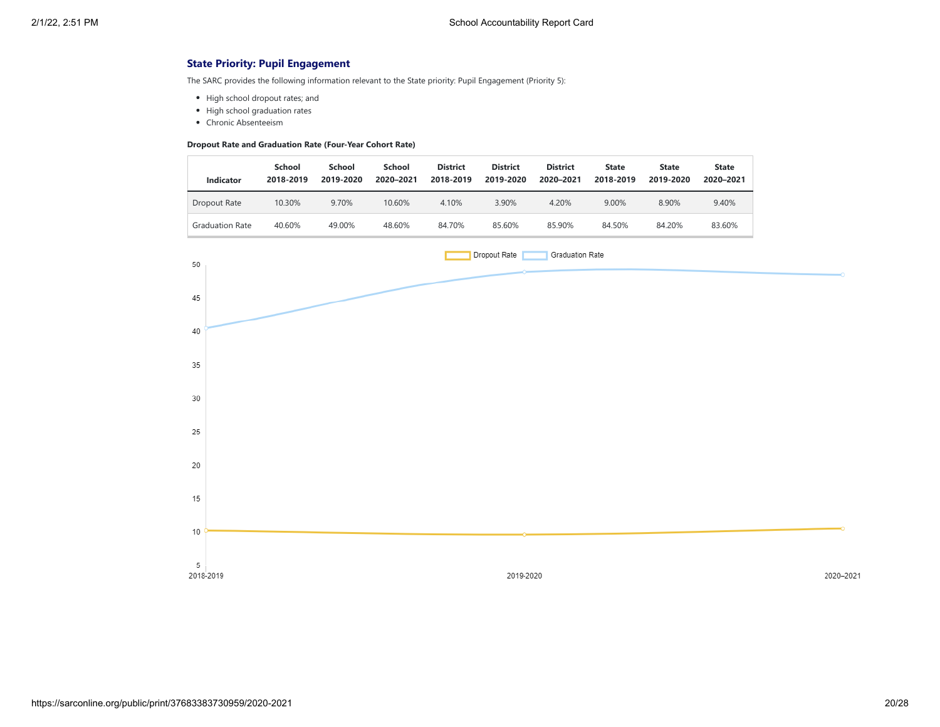## **State Priority: Pupil Engagement**

The SARC provides the following information relevant to the State priority: Pupil Engagement (Priority 5):

- High school dropout rates; and
- High school graduation rates
- Chronic Absenteeism

#### **Dropout Rate and Graduation Rate (Four-Year Cohort Rate)**

| <b>Indicator</b>       | School<br>2018-2019 | School<br>2019-2020 | School<br>2020-2021 | <b>District</b><br>2018-2019 | <b>District</b><br>2019-2020 | <b>District</b><br>2020-2021 | <b>State</b><br>2018-2019 | <b>State</b><br>2019-2020 | <b>State</b><br>2020-2021 |
|------------------------|---------------------|---------------------|---------------------|------------------------------|------------------------------|------------------------------|---------------------------|---------------------------|---------------------------|
| Dropout Rate           | 10.30%              | 9.70%               | 10.60%              | 4.10%                        | 3.90%                        | 4.20%                        | 9.00%                     | 8.90%                     | 9.40%                     |
| <b>Graduation Rate</b> | 40.60%              | 49.00%              | 48.60%              | 84.70%                       | 85.60%                       | 85.90%                       | 84.50%                    | 84.20%                    | 83.60%                    |

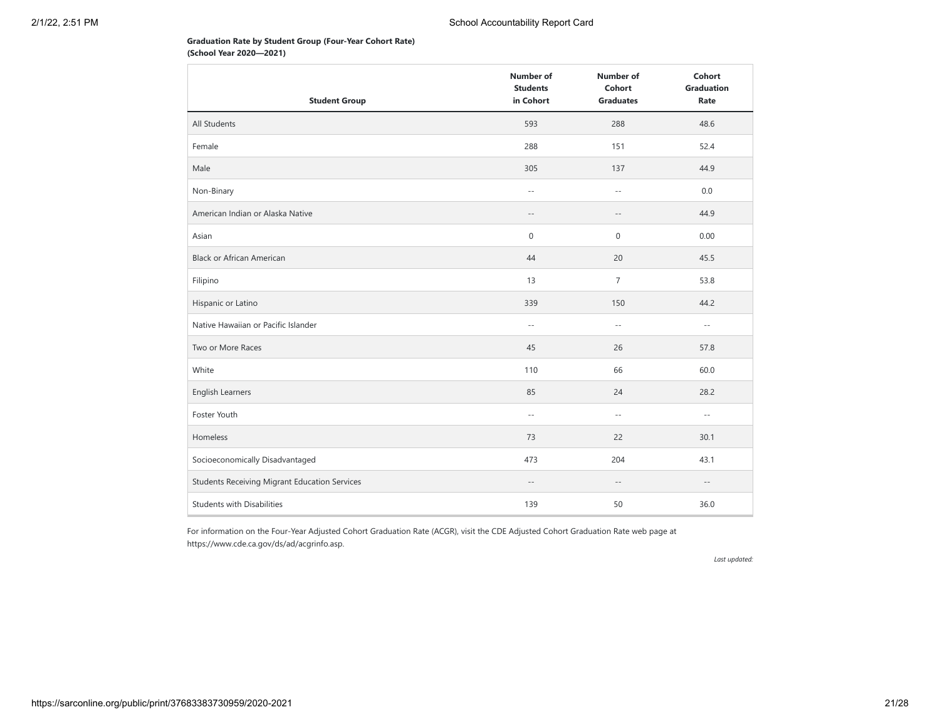## **Graduation Rate by Student Group (Four-Year Cohort Rate) (School Year 2020—2021)**

|                                               | <b>Number of</b><br><b>Students</b> | <b>Number of</b><br>Cohort | Cohort<br><b>Graduation</b> |
|-----------------------------------------------|-------------------------------------|----------------------------|-----------------------------|
| <b>Student Group</b>                          | in Cohort                           | <b>Graduates</b>           | Rate                        |
| All Students                                  | 593                                 | 288                        | 48.6                        |
| Female                                        | 288                                 | 151                        | 52.4                        |
| Male                                          | 305                                 | 137                        | 44.9                        |
| Non-Binary                                    | $\sim$ $\sim$                       | $\sim$ $\sim$              | 0.0                         |
| American Indian or Alaska Native              | $\overline{\phantom{a}}$            | $-\,-$                     | 44.9                        |
| Asian                                         | 0                                   | $\boldsymbol{0}$           | 0.00                        |
| <b>Black or African American</b>              | 44                                  | 20                         | 45.5                        |
| Filipino                                      | 13                                  | $\overline{7}$             | 53.8                        |
| Hispanic or Latino                            | 339                                 | 150                        | 44.2                        |
| Native Hawaiian or Pacific Islander           | $\sim$ $-$                          | $\sim$ $\sim$              | $\sim$ $-$                  |
| Two or More Races                             | 45                                  | 26                         | 57.8                        |
| White                                         | 110                                 | 66                         | 60.0                        |
| English Learners                              | 85                                  | 24                         | 28.2                        |
| Foster Youth                                  | $\sim$ $-$                          | $\sim$ $\sim$              | $\sim$ $-$                  |
| Homeless                                      | 73                                  | 22                         | 30.1                        |
| Socioeconomically Disadvantaged               | 473                                 | 204                        | 43.1                        |
| Students Receiving Migrant Education Services | $-\,-$                              | $-\,-$                     | $-\,-$                      |
| <b>Students with Disabilities</b>             | 139                                 | 50                         | 36.0                        |

For information on the Four-Year Adjusted Cohort Graduation Rate (ACGR), visit the CDE Adjusted Cohort Graduation Rate web page at https://www.cde.ca.gov/ds/ad/acgrinfo.asp.

*Last updated:*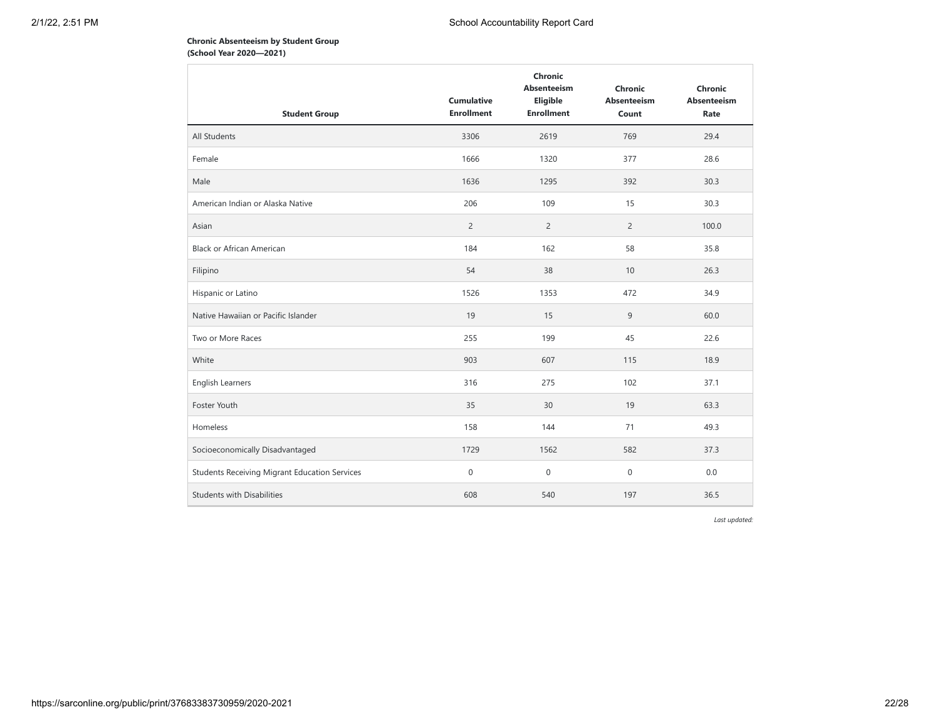## **Chronic Absenteeism by Student Group (School Year 2020—2021)**

| <b>Student Group</b>                          | <b>Cumulative</b><br><b>Enrollment</b> | Chronic<br><b>Absenteeism</b><br>Eligible<br><b>Enrollment</b> | Chronic<br><b>Absenteeism</b><br>Count | Chronic<br><b>Absenteeism</b><br>Rate |
|-----------------------------------------------|----------------------------------------|----------------------------------------------------------------|----------------------------------------|---------------------------------------|
| All Students                                  | 3306                                   | 2619                                                           | 769                                    | 29.4                                  |
| Female                                        | 1666                                   | 1320                                                           | 377                                    | 28.6                                  |
| Male                                          | 1636                                   | 1295                                                           | 392                                    | 30.3                                  |
| American Indian or Alaska Native              | 206                                    | 109                                                            | 15                                     | 30.3                                  |
| Asian                                         | $\overline{c}$                         | $\overline{2}$                                                 | $\overline{2}$                         | 100.0                                 |
| <b>Black or African American</b>              | 184                                    | 162                                                            | 58                                     | 35.8                                  |
| Filipino                                      | 54                                     | 38                                                             | 10                                     | 26.3                                  |
| Hispanic or Latino                            | 1526                                   | 1353                                                           | 472                                    | 34.9                                  |
| Native Hawaiian or Pacific Islander           | 19                                     | 15                                                             | 9                                      | 60.0                                  |
| Two or More Races                             | 255                                    | 199                                                            | 45                                     | 22.6                                  |
| White                                         | 903                                    | 607                                                            | 115                                    | 18.9                                  |
| English Learners                              | 316                                    | 275                                                            | 102                                    | 37.1                                  |
| Foster Youth                                  | 35                                     | 30                                                             | 19                                     | 63.3                                  |
| Homeless                                      | 158                                    | 144                                                            | 71                                     | 49.3                                  |
| Socioeconomically Disadvantaged               | 1729                                   | 1562                                                           | 582                                    | 37.3                                  |
| Students Receiving Migrant Education Services | $\boldsymbol{0}$                       | $\mathbf 0$                                                    | 0                                      | 0.0                                   |
| <b>Students with Disabilities</b>             | 608                                    | 540                                                            | 197                                    | 36.5                                  |

*Last updated:*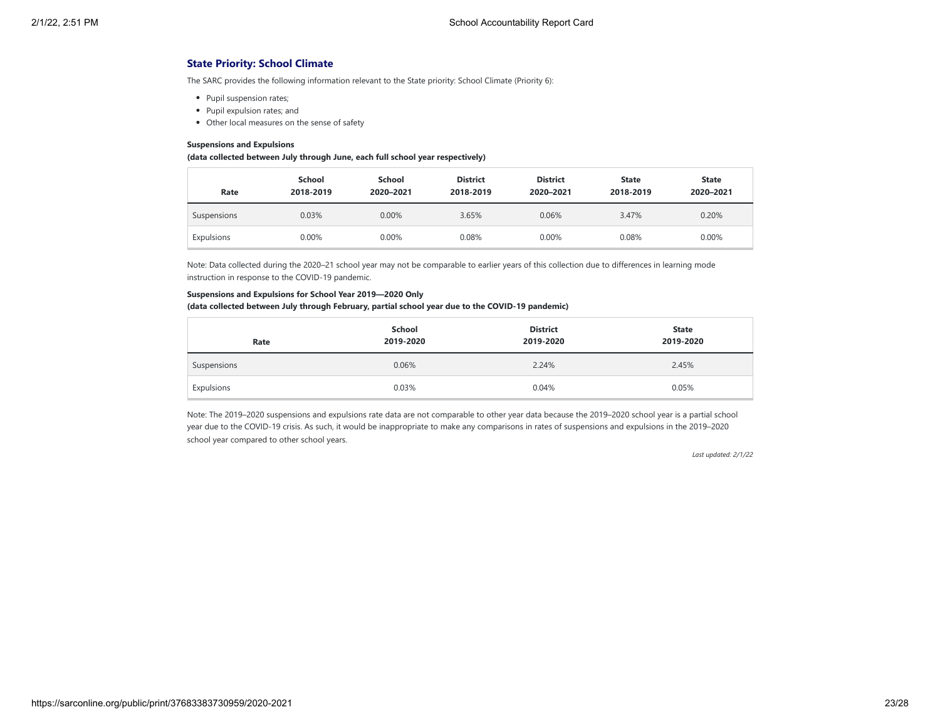## **State Priority: School Climate**

The SARC provides the following information relevant to the State priority: School Climate (Priority 6):

- Pupil suspension rates;
- Pupil expulsion rates; and
- Other local measures on the sense of safety

#### **Suspensions and Expulsions**

#### **(data collected between July through June, each full school year respectively)**

| Rate        | School<br>2018-2019 | School<br>2020-2021 | <b>District</b><br>2018-2019 | <b>District</b><br>2020-2021 | <b>State</b><br>2018-2019 | <b>State</b><br>2020-2021 |
|-------------|---------------------|---------------------|------------------------------|------------------------------|---------------------------|---------------------------|
| Suspensions | 0.03%               | 0.00%               | 3.65%                        | 0.06%                        | 3.47%                     | 0.20%                     |
| Expulsions  | 0.00%               | 0.00%               | 0.08%                        | 0.00%                        | 0.08%                     | 0.00%                     |

Note: Data collected during the 2020–21 school year may not be comparable to earlier years of this collection due to differences in learning mode instruction in response to the COVID-19 pandemic.

#### **Suspensions and Expulsions for School Year 2019—2020 Only**

#### **(data collected between July through February, partial school year due to the COVID-19 pandemic)**

| Rate        | School<br>2019-2020 | <b>District</b><br>2019-2020 | <b>State</b><br>2019-2020 |
|-------------|---------------------|------------------------------|---------------------------|
| Suspensions | 0.06%               | 2.24%                        | 2.45%                     |
| Expulsions  | 0.03%               | 0.04%                        | 0.05%                     |

Note: The 2019–2020 suspensions and expulsions rate data are not comparable to other year data because the 2019–2020 school year is a partial school year due to the COVID-19 crisis. As such, it would be inappropriate to make any comparisons in rates of suspensions and expulsions in the 2019–2020 school year compared to other school years.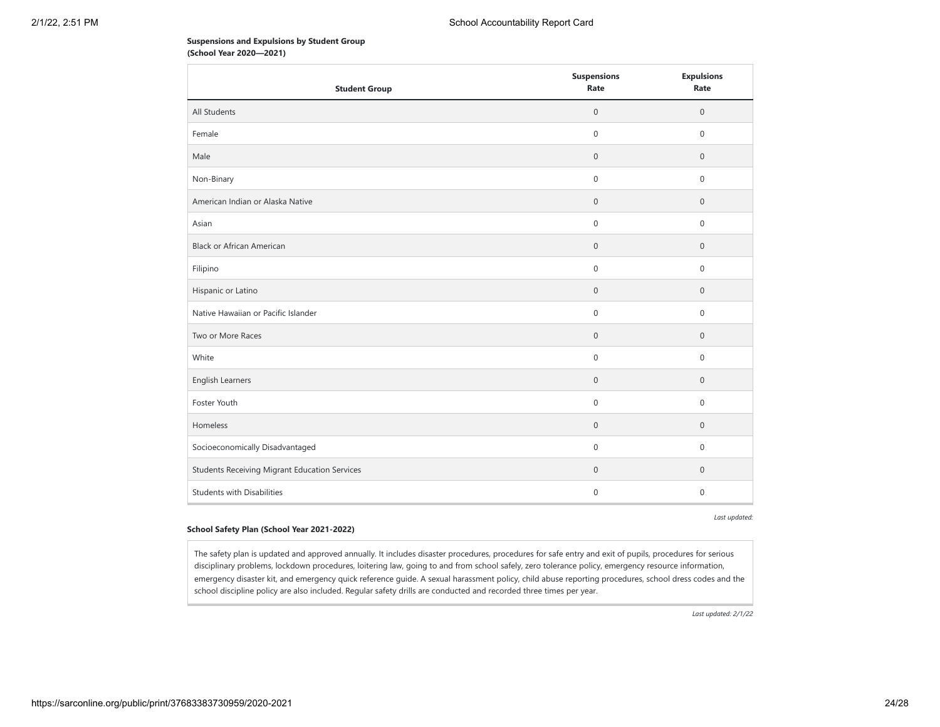### **Suspensions and Expulsions by Student Group (School Year 2020—2021)**

| <b>Student Group</b>                                 | <b>Suspensions</b><br>Rate | <b>Expulsions</b><br>Rate |
|------------------------------------------------------|----------------------------|---------------------------|
| All Students                                         | $\mathbf{0}$               | $\mathbf{0}$              |
| Female                                               | $\mathbf 0$                | $\mathbf 0$               |
| Male                                                 | $\mathbf{0}$               | $\mathbf 0$               |
| Non-Binary                                           | $\mathbf 0$                | $\mathbf{0}$              |
| American Indian or Alaska Native                     | $\boldsymbol{0}$           | $\mathbf 0$               |
| Asian                                                | $\mathbf 0$                | $\mathbf{0}$              |
| <b>Black or African American</b>                     | $\mathbf 0$                | $\mathbf 0$               |
| Filipino                                             | $\mathbf 0$                | $\mathbf 0$               |
| Hispanic or Latino                                   | $\mathbb O$                | $\mathbf 0$               |
| Native Hawaiian or Pacific Islander                  | $\mathsf{O}\xspace$        | $\mathsf{O}\xspace$       |
| Two or More Races                                    | $\boldsymbol{0}$           | $\mathbf 0$               |
| White                                                | $\boldsymbol{0}$           | $\mathbf 0$               |
| English Learners                                     | $\mathbf{0}$               | $\mathbf{0}$              |
| Foster Youth                                         | $\mathbf 0$                | $\mathbf 0$               |
| Homeless                                             | $\mathbf{0}$               | $\mathbf 0$               |
| Socioeconomically Disadvantaged                      | $\boldsymbol{0}$           | $\mathbf 0$               |
| <b>Students Receiving Migrant Education Services</b> | $\boldsymbol{0}$           | $\mathbf 0$               |
| <b>Students with Disabilities</b>                    | $\mathbf{0}$               | $\mathbf{0}$              |

*Last updated:*

#### **School Safety Plan (School Year 2021-2022)**

The safety plan is updated and approved annually. It includes disaster procedures, procedures for safe entry and exit of pupils, procedures for serious disciplinary problems, lockdown procedures, loitering law, going to and from school safely, zero tolerance policy, emergency resource information, emergency disaster kit, and emergency quick reference guide. A sexual harassment policy, child abuse reporting procedures, school dress codes and the school discipline policy are also included. Regular safety drills are conducted and recorded three times per year.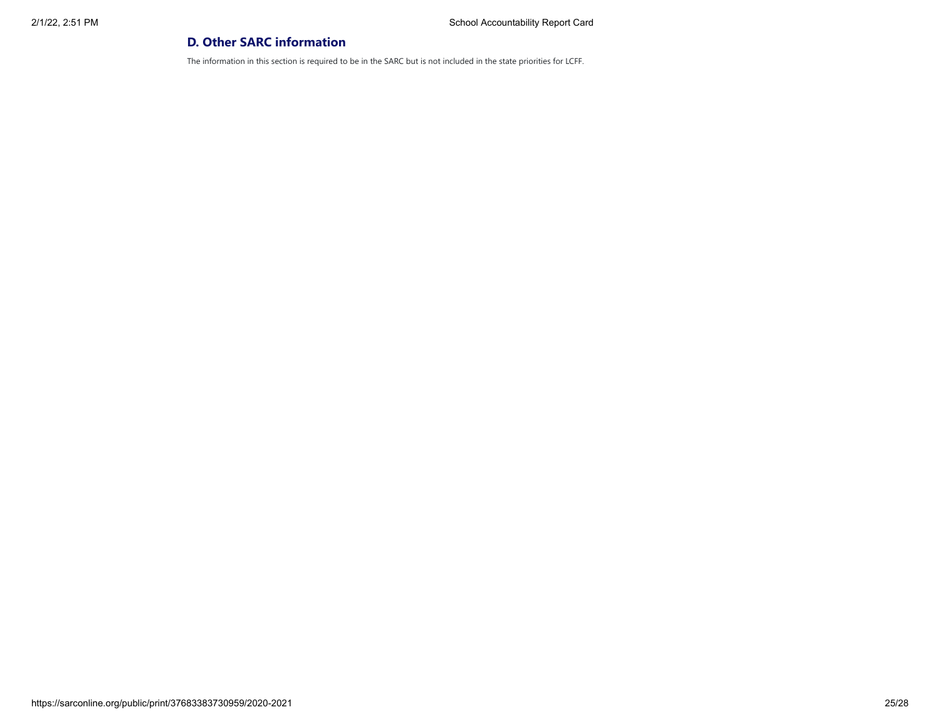## **D. Other SARC information**

The information in this section is required to be in the SARC but is not included in the state priorities for LCFF.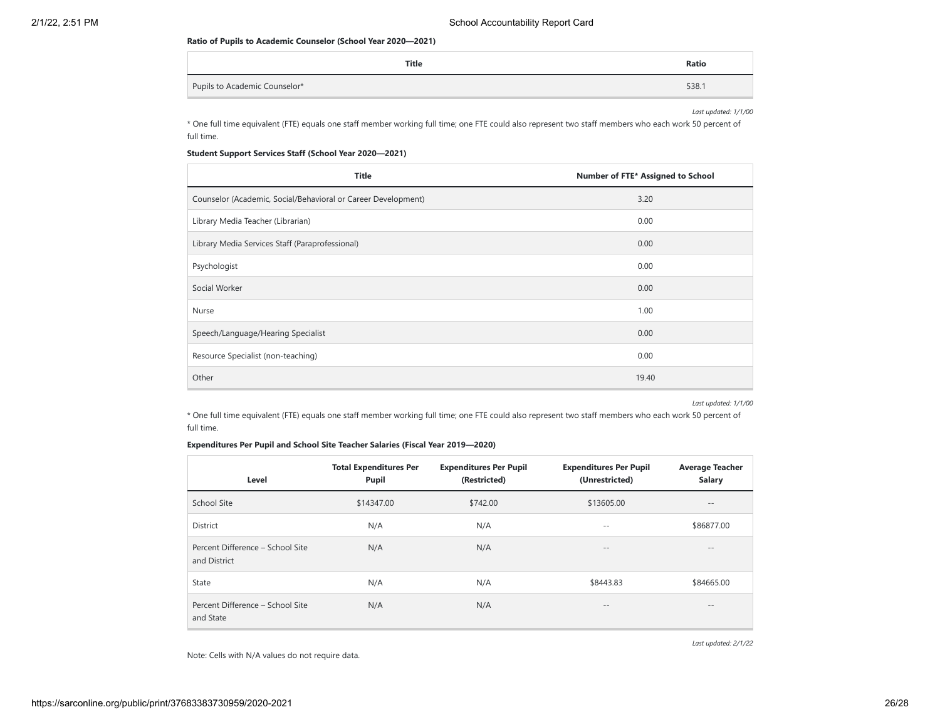#### **Ratio of Pupils to Academic Counselor (School Year 2020—2021)**

| Title                         | Ratio |
|-------------------------------|-------|
| Pupils to Academic Counselor* | 538.  |

*Last updated: 1/1/00*

\* One full time equivalent (FTE) equals one staff member working full time; one FTE could also represent two staff members who each work 50 percent of full time.

## **Student Support Services Staff (School Year 2020—2021)**

| <b>Title</b>                                                  | Number of FTE* Assigned to School |  |
|---------------------------------------------------------------|-----------------------------------|--|
| Counselor (Academic, Social/Behavioral or Career Development) | 3.20                              |  |
| Library Media Teacher (Librarian)                             | 0.00                              |  |
| Library Media Services Staff (Paraprofessional)               | 0.00                              |  |
| Psychologist                                                  | 0.00                              |  |
| Social Worker                                                 | 0.00                              |  |
| Nurse                                                         | 1.00                              |  |
| Speech/Language/Hearing Specialist                            | 0.00                              |  |
| Resource Specialist (non-teaching)                            | 0.00                              |  |
| Other                                                         | 19.40                             |  |

*Last updated: 1/1/00*

\* One full time equivalent (FTE) equals one staff member working full time; one FTE could also represent two staff members who each work 50 percent of full time.

## **Expenditures Per Pupil and School Site Teacher Salaries (Fiscal Year 2019—2020)**

| Level                                            | <b>Total Expenditures Per</b><br>Pupil | <b>Expenditures Per Pupil</b><br>(Restricted) | <b>Expenditures Per Pupil</b><br>(Unrestricted) | <b>Average Teacher</b><br><b>Salary</b> |  |
|--------------------------------------------------|----------------------------------------|-----------------------------------------------|-------------------------------------------------|-----------------------------------------|--|
| School Site                                      | \$14347.00                             | \$742.00                                      | \$13605.00                                      |                                         |  |
| <b>District</b>                                  | N/A                                    | N/A                                           | $- -$                                           | \$86877.00                              |  |
| Percent Difference - School Site<br>and District | N/A                                    | N/A                                           | $- -$                                           | $\qquad \qquad -$                       |  |
| State                                            | N/A                                    | N/A                                           | \$8443.83                                       | \$84665.00                              |  |
| Percent Difference - School Site<br>and State    | N/A                                    | N/A                                           | $- -$                                           | $- -$                                   |  |

*Last updated: 2/1/22*

Note: Cells with N/A values do not require data.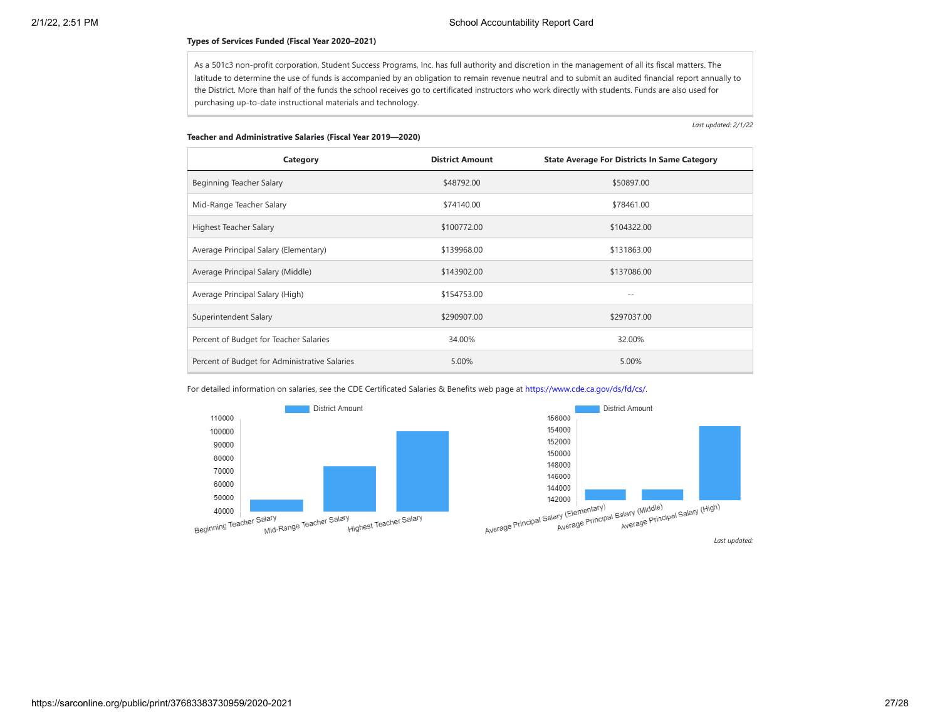#### **Types of Services Funded (Fiscal Year 2020–2021)**

As a 501c3 non-profit corporation, Student Success Programs, Inc. has full authority and discretion in the management of all its fiscal matters. The latitude to determine the use of funds is accompanied by an obligation to remain revenue neutral and to submit an audited financial report annually to the District. More than half of the funds the school receives go to certificated instructors who work directly with students. Funds are also used for purchasing up-to-date instructional materials and technology.

*Last updated: 2/1/22*

#### **Teacher and Administrative Salaries (Fiscal Year 2019—2020)**

| Category                                      | <b>District Amount</b> | <b>State Average For Districts In Same Category</b> |
|-----------------------------------------------|------------------------|-----------------------------------------------------|
| Beginning Teacher Salary                      | \$48792.00             | \$50897.00                                          |
| Mid-Range Teacher Salary                      | \$74140.00             | \$78461.00                                          |
| Highest Teacher Salary                        | \$100772.00            | \$104322.00                                         |
| Average Principal Salary (Elementary)         | \$139968.00            | \$131863.00                                         |
| Average Principal Salary (Middle)             | \$143902.00            | \$137086.00                                         |
| Average Principal Salary (High)               | \$154753.00            | $ -$                                                |
| Superintendent Salary                         | \$290907.00            | \$297037.00                                         |
| Percent of Budget for Teacher Salaries        | 34.00%                 | 32.00%                                              |
| Percent of Budget for Administrative Salaries | 5.00%                  | 5.00%                                               |

For detailed information on salaries, see the CDE Certificated Salaries & Benefits web page at [https://www.cde.ca.gov/ds/fd/cs/.](https://www.cde.ca.gov/ds/fd/cs/)